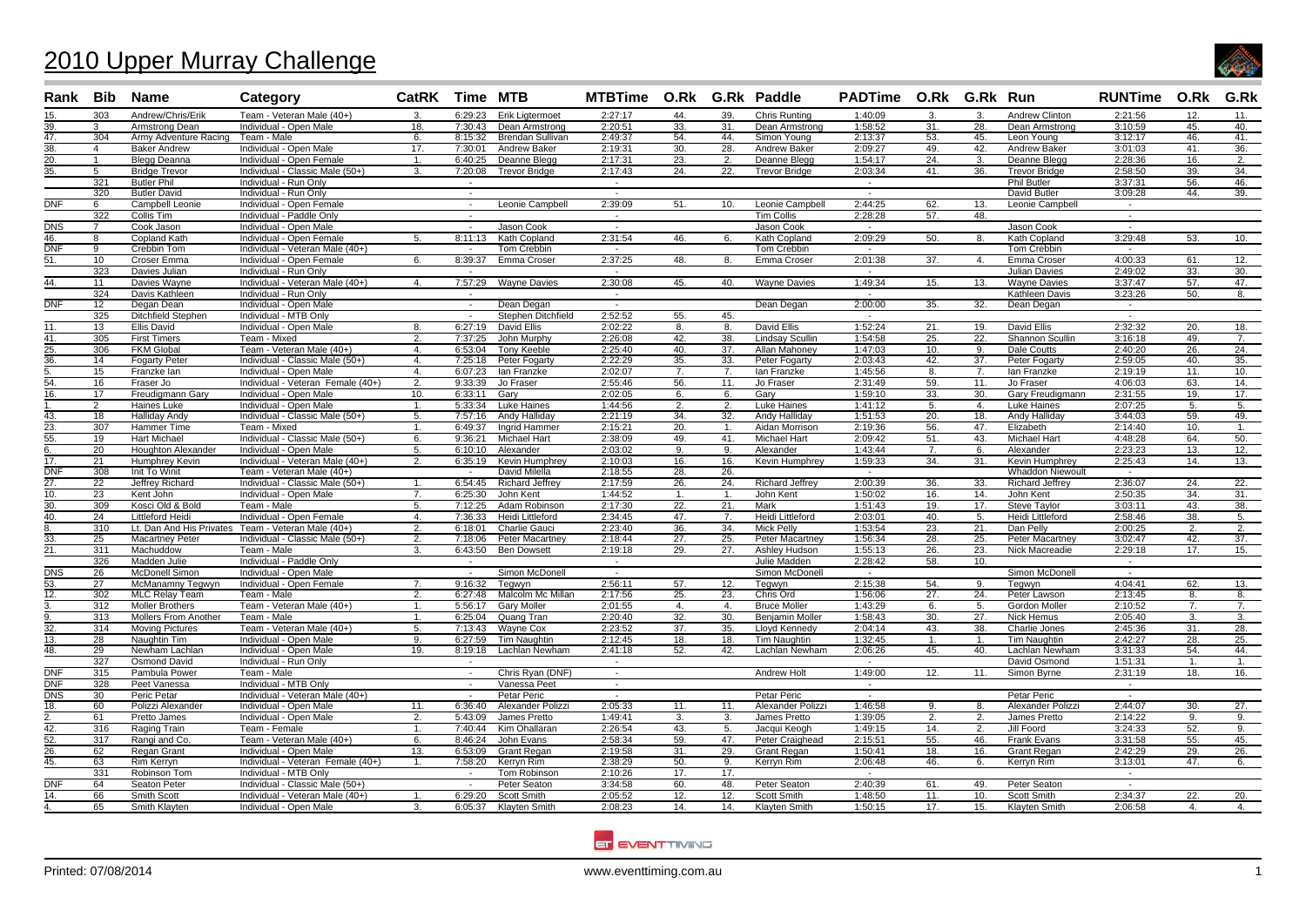## 2010 Upper Murray Challenge



| Team - Veteran Male (40+)<br>15.<br>303<br>Andrew/Chris/Erik<br>6:29:23<br><b>Erik Ligtermoet</b><br>2:27:17<br>44.<br>39.<br>Chris Runting<br>1:40:09<br>$\mathbf{3}$<br>$\mathbf{3}$ .<br>Andrew Clinton<br>2:21:56<br>12.<br>11.<br>3.<br>1:58:52<br>39.<br>Dean Armstrong<br>2:20:51<br>33.<br>31.<br>31.<br>3:10:59<br>45.<br>Armstrong Dean<br>Individual - Open Male<br>18.<br>7:30:43<br>Dean Armstrong<br>28.<br>Dean Armstrong<br>40.<br>3:12:17<br>304<br>Army Adventure Racing<br>Team - Male<br>8:15:32<br><b>Brendan Sullivan</b><br>2:49:37<br>54.<br>44.<br>Simon Young<br>2:13:37<br>53.<br>45.<br>Leon Young<br>46.<br>41.<br>6.<br>2:19:31<br>30.<br>28.<br>2:09:27<br>49.<br>42.<br>3:01:03<br>36.<br>$\overline{4}$<br><b>Baker Andrew</b><br>Individual - Open Male<br>17.<br>7:30:01<br>Andrew Baker<br>Andrew Baker<br>Andrew Baker<br>41.<br>$\overline{20}$ .<br>23.<br>1:54:17<br>$\overline{24}$ .<br>2:28:36<br>Individual - Open Female<br>6:40:25<br>Deanne Blegg<br>2:17:31<br>Deanne Blegg<br>3.<br>16.<br>2.<br>$\mathbf{1}$<br><b>Blegg Deanna</b><br>1<br>2.<br>Deanne Blegg<br>2:58:50<br>34.<br>35.<br>5<br><b>Bridge Trevor</b><br>Individual - Classic Male (50+)<br>7:20:08<br><b>Trevor Bridge</b><br>2:17:43<br>24.<br>22.<br><b>Trevor Bridge</b><br>2:03:34<br>41.<br>36.<br><b>Trevor Bridge</b><br>39.<br>3.<br>321<br><b>Phil Butler</b><br>46.<br><b>Butler Phil</b><br>Individual - Run Only<br>3:37:31<br>56.<br>$\sim$<br>$\sim$<br>$\sim$<br>320<br><b>Butler David</b><br>Individual - Run Only<br>David Butler<br>3:09:28<br>44.<br>39.<br>$\sim$<br>$\sim$<br>$\sim$<br>$\overline{\text{DNF}}$<br>2:39:09<br>2:44:25<br><b>Campbell Leonie</b><br>Individual - Open Female<br>Leonie Campbell<br>51.<br>10.<br>Leonie Campbell<br>62.<br>13.<br>Leonie Campbell<br>6<br>$\sim$<br>$\sim$<br>322<br>Collis Tim<br>Individual - Paddle Only<br><b>Tim Collis</b><br>2:28:28<br>48.<br>57.<br>$\sim$<br>$\sim$<br>$\sim$<br><b>DNS</b><br>$\overline{7}$<br>Cook Jason<br>Individual - Open Male<br>Jason Cook<br><b>Jason Cook</b><br>$\sim$<br>$\sim$<br>Jason Cook<br>$\sim$<br>$\sim$<br>46.<br>8:11:13<br>2:31:54<br>2:09:29<br>50.<br>3:29:48<br>8<br>Copland Kath<br>Individual - Open Female<br>Kath Copland<br>46.<br>Kath Copland<br>8.<br>Kath Copland<br>53.<br>10.<br>5.<br>6.<br><b>DNF</b><br>Tom Crebbin<br>Tom Crebbin<br>9<br>Crebbin Tom<br>Individual - Veteran Male (40+)<br><b>Tom Crebbin</b><br>$\overline{a}$<br>$\sim$<br>$\sim$<br>$\sim$<br>10<br>8:39:37<br>Emma Croser<br>2:37:25<br>48.<br>2:01:38<br>37.<br>4:00:33<br>61.<br>12.<br>51.<br>Croser Emma<br>Individual - Open Female<br>6.<br>8.<br>Emma Croser<br>$\mathbf{4}$ .<br>Emma Croser<br>2:49:02<br>323<br><b>Julian Davies</b><br>33.<br>30.<br>Davies Julian<br>Individual - Run Only<br>44.<br>7:57:29<br>2:30:08<br>1:49:34<br>3:37:47<br>Davies Wayne<br>Individual - Veteran Male (40+)<br><b>Wayne Davies</b><br>45.<br>40.<br><b>Wayne Davies</b><br>15.<br><b>Wayne Davies</b><br>57.<br>47.<br>11<br>4.<br>13.<br>324<br>Davis Kathleen<br>Individual - Run Only<br>3:23:26<br>50.<br>Kathleen Davis<br>8.<br>$\overline{a}$<br>$\sim$<br>$\sim$<br>DNF<br>2:00:00<br>12<br>Individual - Open Male<br>Dean Degan<br>35.<br>32.<br>Degan Dean<br>Dean Degan<br>Dean Degan<br>$\sim$<br>$\sim$<br>$\sim$<br>2:52:52<br>325<br>Ditchfield Stephen<br>Individual - MTB Only<br>Stephen Ditchfield<br>55.<br>45.<br>$\sim$<br>$\sim$<br>$\sim$<br>6:27:19<br>David Ellis<br>1:52:24<br><b>David Ellis</b><br>2:32:32<br>11.<br>13<br>Ellis David<br>Individual - Open Male<br>David Ellis<br>2:02:22<br>8.<br>8.<br>21.<br>19.<br>20.<br>18.<br>8.<br>41.<br>305<br>Team - Mixed<br>7:37:25<br>John Murphy<br>2:26:08<br>42.<br><b>Lindsay Scullin</b><br>1:54:58<br>25.<br>3:16:18<br>49.<br>7.<br><b>First Timers</b><br>$\overline{2}$<br>38.<br>22.<br>Shannon Scullin<br>Team - Veteran Male (40+)<br><b>Tony Keeble</b><br>2:25:40<br><b>Allan Mahoney</b><br>1:47:03<br>2:40:20<br>24.<br>25.<br>306<br><b>FKM Global</b><br>6:53:04<br>40.<br>37.<br>10.<br>Dale Coutts<br>26.<br>4.<br>9.<br>2:03:43<br>37.<br>2:59:05<br>35.<br>36.<br>14<br><b>Fogarty Peter</b><br>Individual - Classic Male (50+)<br>4.<br>7:25:18<br>Peter Fogarty<br>2:22:29<br>35.<br>33.<br>Peter Fogarty<br>42.<br>Peter Fogarty<br>40.<br>15<br>Individual - Open Male<br>6:07:23<br>lan Franzke<br>2:02:07<br>7.<br>7.<br>lan Franzke<br>1:45:56<br>lan Franzke<br>2:19:19<br>11.<br>10.<br>Franzke lan<br>4.<br>8.<br>7.<br>54.<br>16<br>Individual - Veteran Female (40+)<br>9:33:39<br>Jo Fraser<br>2:55:46<br>56.<br>Jo Fraser<br>2:31:49<br>59.<br>11.<br>Jo Fraser<br>4:06:03<br>63.<br>14.<br>Fraser Jo<br>2.<br>11.<br>6:33:11<br>Gary<br>1:59:10<br>30.<br>2:31:55<br>17.<br>17<br>Freudiamann Garv<br>Individual - Open Male<br>10.<br>2:02:05<br>Gary<br>33.<br>Gary Freudigmann<br>19.<br>16.<br>6.<br>6.<br>2<br>Haines Luke<br>Individual - Open Male<br>5:33:34<br>Luke Haines<br>1:44:56<br>2.<br>2.<br>Luke Haines<br>1:41:12<br>5.<br>4.<br>Luke Haines<br>2:07:25<br>5.<br>5.<br>$\mathbf{1}$<br>43.<br>7:57:16<br>Andy Halliday<br>2:21:19<br><b>Andy Hallidav</b><br>1:51:53<br>3:44:03<br>49.<br>18<br><b>Halliday Andy</b><br>Individual - Classic Male (50+)<br>34.<br>32.<br>20.<br>18.<br>Andy Halliday<br>59.<br>5.<br>$\overline{23}$ .<br>2:14:40<br>307<br>6:49:37<br><b>Inarid Hammer</b><br>2:15:21<br>20.<br>Aidan Morrison<br>2:19:36<br>56.<br>47.<br>Elizabeth<br>Hammer Time<br>Team - Mixed<br>10.<br>1<br>$\mathbf{1}$<br>55.<br><b>Hart Michael</b><br>Individual - Classic Male (50+)<br>2:38:09<br>49.<br>41<br><b>Michael Hart</b><br>2:09:42<br>43.<br>Michael Hart<br>4:48:28<br>50.<br>19<br>6.<br>9:36:21<br><b>Michael Hart</b><br>51.<br>64.<br>20<br>2:03:02<br>2:23:23<br>12.<br>Individual - Open Male<br>5.<br>6:10:10<br>Alexander<br>9.<br>Alexander<br>1:43:44<br>7.<br><b>Houghton Alexander</b><br>9.<br>6.<br>Alexander<br>13.<br>6.<br>17.<br>$\overline{21}$<br>Humphrey Kevin<br>Individual - Veteran Male (40+)<br>6:35:19<br><b>Kevin Humphrey</b><br>2:10:03<br>16.<br><b>Kevin Humphrey</b><br>1:59:33<br>34.<br>Kevin Humphrey<br>2:25:43<br>13.<br>2.<br>16.<br>31.<br>14.<br><b>DNF</b><br>308<br>Init To Winit<br>Team - Veteran Male (40+)<br>David Milella<br>2:18:55<br>28.<br>26.<br><b>Whaddon Niewoult</b><br>$\sim$<br>$\sim$<br>6:54:45<br>2:00:39<br>2:36:07<br>27.<br>$\overline{22}$<br>Individual - Classic Male (50+)<br><b>Richard Jeffrey</b><br>2:17:59<br>26.<br><b>Richard Jeffrey</b><br>36.<br>24.<br>22.<br>Jeffrey Richard<br>$\mathbf{1}$<br>24.<br>33.<br><b>Richard Jeffrey</b><br>10.<br>23<br>Kent John<br>Individual - Open Male<br>6:25:30<br>John Kent<br>1:44:52<br>John Kent<br>1:50:02<br>14.<br>John Kent<br>2:50:35<br>34.<br>31.<br>7.<br>16.<br>$\mathbf{1}$<br>1.<br>30.<br>22.<br>38.<br>309<br>Kosci Old & Bold<br>Team - Male<br>5.<br>7:12:25<br>Adam Robinson<br>2:17:30<br>21.<br>Mark<br>1:51:43<br>19.<br>17.<br><b>Steve Tavlor</b><br>3:03:11<br>43.<br>40.<br>$\overline{24}$<br>7:36:33<br><b>Heidi Littleford</b><br>2:34:45<br>47.<br>Heidi Littleford<br>2:03:01<br>40.<br>2:58:46<br>38.<br>Littleford Heidi<br>Individual - Open Female<br>4.<br>7.<br>5.<br>Heidi Littleford<br>5.<br>310<br>Lt. Dan And His Privates Team - Veteran Male (40+)<br>6:18:01<br>Charlie Gauci<br>2:23:40<br>36.<br>34.<br><b>Mick Pelly</b><br>1:53:54<br>23.<br>21.<br>Dan Pelly<br>2:00:25<br>$\overline{2}$ .<br>8.<br>2.<br>2.<br>1:56:34<br>37.<br>33.<br>25<br><b>Macartney Peter</b><br>Individual - Classic Male (50+)<br>2.<br>7:18:06<br><b>Peter Macartney</b><br>2:18:44<br>27.<br>25.<br><b>Peter Macartney</b><br>28.<br>25.<br><b>Peter Macartney</b><br>3:02:47<br>42.<br>$\overline{21}$ .<br>Machuddow<br>Team - Male<br>6:43:50<br><b>Ben Dowsett</b><br>2:19:18<br>29.<br>27.<br>Ashley Hudson<br>1:55:13<br>Nick Macreadie<br>2:29:18<br>17.<br>15.<br>311<br>3.<br>26.<br>23.<br>326<br>Madden Julie<br>Individual - Paddle Only<br>Julie Madden<br>2:28:42<br>58.<br>10.<br>$\overline{\phantom{a}}$<br>$\sim$<br>$\sim$<br><b>DNS</b><br><b>McDonell Simon</b><br>Individual - Open Male<br>Simon McDonell<br>Simon McDonell<br>Simon McDonell<br>-26<br>$\overline{\phantom{a}}$<br>$\sim$<br>$\sim$<br>$\sim$<br>53.<br>9:16:32<br>2:56:11<br>57.<br>2:15:38<br>54.<br>4:04:41<br>27<br>McManamny Tegwyn<br>Individual - Open Female<br>7.<br>Tegwyn<br>12.<br>Tegwyn<br>9.<br>Tegwyn<br>62.<br>13.<br>$\overline{12.}$<br>25.<br>302<br><b>MLC Relay Team</b><br>6:27:48<br>Malcolm Mc Millan<br>2:17:56<br>23.<br>Chris Ord<br>1:56:06<br>27.<br>24.<br>Peter Lawson<br>2:13:45<br>Team - Male<br>2.<br>8.<br>8.<br>Team - Veteran Male (40+)<br>5:56:17<br>312<br><b>Moller Brothers</b><br><b>Garv Moller</b><br>2:01:55<br><b>Bruce Moller</b><br>1:43:29<br>Gordon Moller<br>2:10:52<br>4.<br>$\mathbf{4}$ .<br>5.<br>7.<br>7.<br>$\mathbf{1}$<br>6.<br>Team - Male<br>2:20:40<br>32.<br><b>Benjamin Moller</b><br>1:58:43<br>2:05:40<br>313<br>Mollers From Another<br>6:25:04<br>Quang Tran<br>30.<br>30.<br>27.<br>Nick Hemus<br>3.<br>3.<br>$\mathbf{1}$<br>$\overline{32}$ .<br>2:23:52<br>2:04:14<br>28.<br><b>Moving Pictures</b><br>Team - Veteran Male (40+)<br>5.<br>7:13:43<br>Wayne Cox<br>37.<br>35.<br>Lloyd Kennedy<br>43.<br>2:45:36<br>31.<br>314<br>38.<br>Charlie Jones<br>13.<br>Individual - Open Male<br>6:27:59<br><b>Tim Naughtin</b><br>2:12:45<br>Tim Naughtin<br>1:32:45<br>Tim Naughtin<br>2:42:27<br>28.<br>25.<br>28<br>Naughtin Tim<br>9.<br>18.<br>18.<br>-1.<br>-1.<br>40.<br>48.<br>29<br>Newham Lachlan<br>Individual - Open Male<br>19.<br>8:19:18<br>Lachlan Newham<br>2:41:18<br>52.<br>42.<br>Lachlan Newham<br>2:06:26<br>45.<br>Lachlan Newham<br>3:31:33<br>54.<br>44.<br>327<br><b>Osmond David</b><br>Individual - Run Only<br>David Osmond<br>1:51:31<br>1.<br>1.<br>$\sim$<br>$\sim$<br><b>DNF</b><br>315<br>Pambula Power<br>Team - Male<br>Chris Ryan (DNF)<br>Andrew Holt<br>1:49:00<br>12.<br>11.<br>Simon Byrne<br>2:31:19<br>18.<br>16.<br>$\sim$<br>$\sim$<br>DNF<br>328<br>Peet Vanessa<br>Individual - MTB Only<br>Vanessa Peet<br>$\sim$<br>$\sim$<br>$\sim$<br>$\sim$<br>Petar Peric<br>Petar Peric<br>DNS<br>Peric Petar<br>Individual - Veteran Male (40+)<br>Petar Peric<br>30<br>-<br>27.<br>18.<br>60<br>Individual - Open Male<br>6:36:40<br>Alexander Polizzi<br>2:05:33<br>11.<br>Alexander Polizzi<br>1:46:58<br>Alexander Polizzi<br>2:44:07<br>30.<br>Polizzi Alexander<br>11.<br>11.<br>9.<br>8.<br>5:43:09<br>James Pretto<br>1:49:41<br>James Pretto<br>1:39:05<br>2:14:22<br>-61<br>Pretto James<br>Individual - Open Male<br>2.<br>3.<br>3.<br>2.<br>2.<br>James Pretto<br>9.<br>9.<br>42.<br>316<br><b>Raging Train</b><br>7:40:44<br>Kim Ohallaran<br>2:26:54<br>43.<br>Jacqui Keogh<br>1:49:15<br>14.<br>$\overline{2}$ .<br><b>Jill Foord</b><br>3:24:33<br>52.<br>9.<br>Team - Female<br>1.<br>5.<br>$\overline{52}$ .<br>55.<br>45.<br>317<br>Team - Veteran Male (40+)<br>8:46:24<br>John Evans<br>2:58:34<br>59.<br>47.<br>Peter Craighead<br>2:15:51<br>55.<br>46.<br>Frank Evans<br>3:31:58<br>Rangi and Co.<br>6.<br>6:53:09<br>1:50:41<br>2:42:29<br>26.<br>62<br>Regan Grant<br>Individual - Open Male<br><b>Grant Regan</b><br>2:19:58<br>31.<br>29.<br>Grant Regan<br>18.<br>16.<br><b>Grant Regan</b><br>29.<br>26.<br>13.<br>Individual - Veteran Female (40+)<br>3:13:01<br>45.<br>63<br>Rim Kerryn<br>7:58:20<br>Kerryn Rim<br>2:38:29<br>50.<br>9.<br>Kerryn Rim<br>2:06:48<br>46.<br>Kerryn Rim<br>47.<br>6.<br>$\mathbf{1}$<br>6.<br>331<br>Individual - MTB Only<br><b>Tom Robinson</b><br>2:10:26<br>17.<br>17.<br>Robinson Tom<br>$\overline{\phantom{a}}$<br>$\overline{\text{DNF}}$<br>Individual - Classic Male (50+)<br>Peter Seaton<br>3:34:58<br>60.<br>48.<br>Peter Seaton<br>2:40:39<br>61.<br>49.<br><b>Peter Seaton</b><br>64<br>Seaton Peter<br>$\sim$<br>Individual - Veteran Male (40+)<br>6:29:20<br>Scott Smith<br>2:05:52<br>12.<br>1:48:50<br>2:34:37<br>22.<br>20.<br>14.<br>66<br>Smith Scott<br>12.<br>Scott Smith<br>11.<br>10.<br>Scott Smith<br>$\mathbf{1}$ .<br>2:08:23<br>14.<br>1:50:15<br>17.<br>65<br>Smith Klavten<br>Individual - Open Male<br>3.<br>6:05:37<br>Klayten Smith<br>14.<br>Klayten Smith<br>15.<br>Klayten Smith<br>2:06:58 | Rank Bib          | Name | Category | CatRK Time MTB |  | MTBTime O.Rk G.Rk Paddle |  | PADTime O.Rk G.Rk Run |  | <b>RUNTime O.Rk</b> | G.Rk |
|----------------------------------------------------------------------------------------------------------------------------------------------------------------------------------------------------------------------------------------------------------------------------------------------------------------------------------------------------------------------------------------------------------------------------------------------------------------------------------------------------------------------------------------------------------------------------------------------------------------------------------------------------------------------------------------------------------------------------------------------------------------------------------------------------------------------------------------------------------------------------------------------------------------------------------------------------------------------------------------------------------------------------------------------------------------------------------------------------------------------------------------------------------------------------------------------------------------------------------------------------------------------------------------------------------------------------------------------------------------------------------------------------------------------------------------------------------------------------------------------------------------------------------------------------------------------------------------------------------------------------------------------------------------------------------------------------------------------------------------------------------------------------------------------------------------------------------------------------------------------------------------------------------------------------------------------------------------------------------------------------------------------------------------------------------------------------------------------------------------------------------------------------------------------------------------------------------------------------------------------------------------------------------------------------------------------------------------------------------------------------------------------------------------------------------------------------------------------------------------------------------------------------------------------------------------------------------------------------------------------------------------------------------------------------------------------------------------------------------------------------------------------------------------------------------------------------------------------------------------------------------------------------------------------------------------------------------------------------------------------------------------------------------------------------------------------------------------------------------------------------------------------------------------------------------------------------------------------------------------------------------------------------------------------------------------------------------------------------------------------------------------------------------------------------------------------------------------------------------------------------------------------------------------------------------------------------------------------------------------------------------------------------------------------------------------------------------------------------------------------------------------------------------------------------------------------------------------------------------------------------------------------------------------------------------------------------------------------------------------------------------------------------------------------------------------------------------------------------------------------------------------------------------------------------------------------------------------------------------------------------------------------------------------------------------------------------------------------------------------------------------------------------------------------------------------------------------------------------------------------------------------------------------------------------------------------------------------------------------------------------------------------------------------------------------------------------------------------------------------------------------------------------------------------------------------------------------------------------------------------------------------------------------------------------------------------------------------------------------------------------------------------------------------------------------------------------------------------------------------------------------------------------------------------------------------------------------------------------------------------------------------------------------------------------------------------------------------------------------------------------------------------------------------------------------------------------------------------------------------------------------------------------------------------------------------------------------------------------------------------------------------------------------------------------------------------------------------------------------------------------------------------------------------------------------------------------------------------------------------------------------------------------------------------------------------------------------------------------------------------------------------------------------------------------------------------------------------------------------------------------------------------------------------------------------------------------------------------------------------------------------------------------------------------------------------------------------------------------------------------------------------------------------------------------------------------------------------------------------------------------------------------------------------------------------------------------------------------------------------------------------------------------------------------------------------------------------------------------------------------------------------------------------------------------------------------------------------------------------------------------------------------------------------------------------------------------------------------------------------------------------------------------------------------------------------------------------------------------------------------------------------------------------------------------------------------------------------------------------------------------------------------------------------------------------------------------------------------------------------------------------------------------------------------------------------------------------------------------------------------------------------------------------------------------------------------------------------------------------------------------------------------------------------------------------------------------------------------------------------------------------------------------------------------------------------------------------------------------------------------------------------------------------------------------------------------------------------------------------------------------------------------------------------------------------------------------------------------------------------------------------------------------------------------------------------------------------------------------------------------------------------------------------------------------------------------------------------------------------------------------------------------------------------------------------------------------------------------------------------------------------------------------------------------------------------------------------------------------------------------------------------------------------------------------------------------------------------------------------------------------------------------------------------------------------------------------------------------------------------------------------------------------------------------------------------------------------------------------------------------------------------------------------------------------------------------------------------------------------------------------------------------------------------------------------------------------------------------------------------------------------------------------------------------------------------------------------------------------------------------------------------------------------------------------------------------------------------------------------------------------------------------------------------------------------------------------------------------------------------------------------------------------------------------------------------------------------------------------------------------------------------------------------------------------------------------------------------------------------------------------------------------------------------------------------------------------------------------------------------------------------------------------------------------------------------------------------------------------------------------------------------------------------------------------------------------------------------------------------------------------------------------------------------------------------------------------------------------------------------------------------------------------------------------------------------------------------------------------------------------------------------------------------------------------------------------------------------------------------------------------------------------------------------------------------------------------------------------------------------------------------------------------------------------------------------------------------------------------------------------------------------------------------------------------------------------------------------------------------------------------------------------------------------------------------------------------------------------------------------------------------------------------------------------------------------------------------------------------------------------------------------------------------------------------------------------------------------------------------------------------------------------------------------------------------------------------------------------------------------------------------------------------------------------------------------------------------------------------------------------------------------------------------------------------------------------------------------------------------------------------------------------------------------------------------------------------------------------------------------------------------------------------------------------------------------------------------------------------------------------------------------------------------------------------------------------------------------------------------------------------------------------------------------------------------------------------------------------------------------------------------------------------------------------------------------------------------------------------------------------------------------------------------------------------------------------------------------|-------------------|------|----------|----------------|--|--------------------------|--|-----------------------|--|---------------------|------|
|                                                                                                                                                                                                                                                                                                                                                                                                                                                                                                                                                                                                                                                                                                                                                                                                                                                                                                                                                                                                                                                                                                                                                                                                                                                                                                                                                                                                                                                                                                                                                                                                                                                                                                                                                                                                                                                                                                                                                                                                                                                                                                                                                                                                                                                                                                                                                                                                                                                                                                                                                                                                                                                                                                                                                                                                                                                                                                                                                                                                                                                                                                                                                                                                                                                                                                                                                                                                                                                                                                                                                                                                                                                                                                                                                                                                                                                                                                                                                                                                                                                                                                                                                                                                                                                                                                                                                                                                                                                                                                                                                                                                                                                                                                                                                                                                                                                                                                                                                                                                                                                                                                                                                                                                                                                                                                                                                                                                                                                                                                                                                                                                                                                                                                                                                                                                                                                                                                                                                                                                                                                                                                                                                                                                                                                                                                                                                                                                                                                                                                                                                                                                                                                                                                                                                                                                                                                                                                                                                                                                                                                                                                                                                                                                                                                                                                                                                                                                                                                                                                                                                                                                                                                                                                                                                                                                                                                                                                                                                                                                                                                                                                                                                                                                                                                                                                                                                                                                                                                                                                                                                                                                                                                                                                                                                                                                                                                                                                                                                                                                                                                                                                                                                                                                                                                                                                                                                                                                                                                                                                                                                                                                                                                                                                                                                                                                                                                                                                                                                                                                                                                                                                                                                                                                                                                                                                                                                                                                                                                                                                                                                                                                                                                                                                                                                                                                                                                                                                                                                                                                                                                                                                                                                                                                                                                                                                                                                                                                                                                                                                                                                                                                                                                                                                                                                                                                                                                                                                                                                                                                                                                                                                                                                                                                                                                                                                                                                                                                                                                                |                   |      |          |                |  |                          |  |                       |  |                     |      |
|                                                                                                                                                                                                                                                                                                                                                                                                                                                                                                                                                                                                                                                                                                                                                                                                                                                                                                                                                                                                                                                                                                                                                                                                                                                                                                                                                                                                                                                                                                                                                                                                                                                                                                                                                                                                                                                                                                                                                                                                                                                                                                                                                                                                                                                                                                                                                                                                                                                                                                                                                                                                                                                                                                                                                                                                                                                                                                                                                                                                                                                                                                                                                                                                                                                                                                                                                                                                                                                                                                                                                                                                                                                                                                                                                                                                                                                                                                                                                                                                                                                                                                                                                                                                                                                                                                                                                                                                                                                                                                                                                                                                                                                                                                                                                                                                                                                                                                                                                                                                                                                                                                                                                                                                                                                                                                                                                                                                                                                                                                                                                                                                                                                                                                                                                                                                                                                                                                                                                                                                                                                                                                                                                                                                                                                                                                                                                                                                                                                                                                                                                                                                                                                                                                                                                                                                                                                                                                                                                                                                                                                                                                                                                                                                                                                                                                                                                                                                                                                                                                                                                                                                                                                                                                                                                                                                                                                                                                                                                                                                                                                                                                                                                                                                                                                                                                                                                                                                                                                                                                                                                                                                                                                                                                                                                                                                                                                                                                                                                                                                                                                                                                                                                                                                                                                                                                                                                                                                                                                                                                                                                                                                                                                                                                                                                                                                                                                                                                                                                                                                                                                                                                                                                                                                                                                                                                                                                                                                                                                                                                                                                                                                                                                                                                                                                                                                                                                                                                                                                                                                                                                                                                                                                                                                                                                                                                                                                                                                                                                                                                                                                                                                                                                                                                                                                                                                                                                                                                                                                                                                                                                                                                                                                                                                                                                                                                                                                                                                                                                                |                   |      |          |                |  |                          |  |                       |  |                     |      |
|                                                                                                                                                                                                                                                                                                                                                                                                                                                                                                                                                                                                                                                                                                                                                                                                                                                                                                                                                                                                                                                                                                                                                                                                                                                                                                                                                                                                                                                                                                                                                                                                                                                                                                                                                                                                                                                                                                                                                                                                                                                                                                                                                                                                                                                                                                                                                                                                                                                                                                                                                                                                                                                                                                                                                                                                                                                                                                                                                                                                                                                                                                                                                                                                                                                                                                                                                                                                                                                                                                                                                                                                                                                                                                                                                                                                                                                                                                                                                                                                                                                                                                                                                                                                                                                                                                                                                                                                                                                                                                                                                                                                                                                                                                                                                                                                                                                                                                                                                                                                                                                                                                                                                                                                                                                                                                                                                                                                                                                                                                                                                                                                                                                                                                                                                                                                                                                                                                                                                                                                                                                                                                                                                                                                                                                                                                                                                                                                                                                                                                                                                                                                                                                                                                                                                                                                                                                                                                                                                                                                                                                                                                                                                                                                                                                                                                                                                                                                                                                                                                                                                                                                                                                                                                                                                                                                                                                                                                                                                                                                                                                                                                                                                                                                                                                                                                                                                                                                                                                                                                                                                                                                                                                                                                                                                                                                                                                                                                                                                                                                                                                                                                                                                                                                                                                                                                                                                                                                                                                                                                                                                                                                                                                                                                                                                                                                                                                                                                                                                                                                                                                                                                                                                                                                                                                                                                                                                                                                                                                                                                                                                                                                                                                                                                                                                                                                                                                                                                                                                                                                                                                                                                                                                                                                                                                                                                                                                                                                                                                                                                                                                                                                                                                                                                                                                                                                                                                                                                                                                                                                                                                                                                                                                                                                                                                                                                                                                                                                                                                                | 47.               |      |          |                |  |                          |  |                       |  |                     |      |
|                                                                                                                                                                                                                                                                                                                                                                                                                                                                                                                                                                                                                                                                                                                                                                                                                                                                                                                                                                                                                                                                                                                                                                                                                                                                                                                                                                                                                                                                                                                                                                                                                                                                                                                                                                                                                                                                                                                                                                                                                                                                                                                                                                                                                                                                                                                                                                                                                                                                                                                                                                                                                                                                                                                                                                                                                                                                                                                                                                                                                                                                                                                                                                                                                                                                                                                                                                                                                                                                                                                                                                                                                                                                                                                                                                                                                                                                                                                                                                                                                                                                                                                                                                                                                                                                                                                                                                                                                                                                                                                                                                                                                                                                                                                                                                                                                                                                                                                                                                                                                                                                                                                                                                                                                                                                                                                                                                                                                                                                                                                                                                                                                                                                                                                                                                                                                                                                                                                                                                                                                                                                                                                                                                                                                                                                                                                                                                                                                                                                                                                                                                                                                                                                                                                                                                                                                                                                                                                                                                                                                                                                                                                                                                                                                                                                                                                                                                                                                                                                                                                                                                                                                                                                                                                                                                                                                                                                                                                                                                                                                                                                                                                                                                                                                                                                                                                                                                                                                                                                                                                                                                                                                                                                                                                                                                                                                                                                                                                                                                                                                                                                                                                                                                                                                                                                                                                                                                                                                                                                                                                                                                                                                                                                                                                                                                                                                                                                                                                                                                                                                                                                                                                                                                                                                                                                                                                                                                                                                                                                                                                                                                                                                                                                                                                                                                                                                                                                                                                                                                                                                                                                                                                                                                                                                                                                                                                                                                                                                                                                                                                                                                                                                                                                                                                                                                                                                                                                                                                                                                                                                                                                                                                                                                                                                                                                                                                                                                                                                                                                | $\overline{38}$ . |      |          |                |  |                          |  |                       |  |                     |      |
|                                                                                                                                                                                                                                                                                                                                                                                                                                                                                                                                                                                                                                                                                                                                                                                                                                                                                                                                                                                                                                                                                                                                                                                                                                                                                                                                                                                                                                                                                                                                                                                                                                                                                                                                                                                                                                                                                                                                                                                                                                                                                                                                                                                                                                                                                                                                                                                                                                                                                                                                                                                                                                                                                                                                                                                                                                                                                                                                                                                                                                                                                                                                                                                                                                                                                                                                                                                                                                                                                                                                                                                                                                                                                                                                                                                                                                                                                                                                                                                                                                                                                                                                                                                                                                                                                                                                                                                                                                                                                                                                                                                                                                                                                                                                                                                                                                                                                                                                                                                                                                                                                                                                                                                                                                                                                                                                                                                                                                                                                                                                                                                                                                                                                                                                                                                                                                                                                                                                                                                                                                                                                                                                                                                                                                                                                                                                                                                                                                                                                                                                                                                                                                                                                                                                                                                                                                                                                                                                                                                                                                                                                                                                                                                                                                                                                                                                                                                                                                                                                                                                                                                                                                                                                                                                                                                                                                                                                                                                                                                                                                                                                                                                                                                                                                                                                                                                                                                                                                                                                                                                                                                                                                                                                                                                                                                                                                                                                                                                                                                                                                                                                                                                                                                                                                                                                                                                                                                                                                                                                                                                                                                                                                                                                                                                                                                                                                                                                                                                                                                                                                                                                                                                                                                                                                                                                                                                                                                                                                                                                                                                                                                                                                                                                                                                                                                                                                                                                                                                                                                                                                                                                                                                                                                                                                                                                                                                                                                                                                                                                                                                                                                                                                                                                                                                                                                                                                                                                                                                                                                                                                                                                                                                                                                                                                                                                                                                                                                                                                                                |                   |      |          |                |  |                          |  |                       |  |                     |      |
|                                                                                                                                                                                                                                                                                                                                                                                                                                                                                                                                                                                                                                                                                                                                                                                                                                                                                                                                                                                                                                                                                                                                                                                                                                                                                                                                                                                                                                                                                                                                                                                                                                                                                                                                                                                                                                                                                                                                                                                                                                                                                                                                                                                                                                                                                                                                                                                                                                                                                                                                                                                                                                                                                                                                                                                                                                                                                                                                                                                                                                                                                                                                                                                                                                                                                                                                                                                                                                                                                                                                                                                                                                                                                                                                                                                                                                                                                                                                                                                                                                                                                                                                                                                                                                                                                                                                                                                                                                                                                                                                                                                                                                                                                                                                                                                                                                                                                                                                                                                                                                                                                                                                                                                                                                                                                                                                                                                                                                                                                                                                                                                                                                                                                                                                                                                                                                                                                                                                                                                                                                                                                                                                                                                                                                                                                                                                                                                                                                                                                                                                                                                                                                                                                                                                                                                                                                                                                                                                                                                                                                                                                                                                                                                                                                                                                                                                                                                                                                                                                                                                                                                                                                                                                                                                                                                                                                                                                                                                                                                                                                                                                                                                                                                                                                                                                                                                                                                                                                                                                                                                                                                                                                                                                                                                                                                                                                                                                                                                                                                                                                                                                                                                                                                                                                                                                                                                                                                                                                                                                                                                                                                                                                                                                                                                                                                                                                                                                                                                                                                                                                                                                                                                                                                                                                                                                                                                                                                                                                                                                                                                                                                                                                                                                                                                                                                                                                                                                                                                                                                                                                                                                                                                                                                                                                                                                                                                                                                                                                                                                                                                                                                                                                                                                                                                                                                                                                                                                                                                                                                                                                                                                                                                                                                                                                                                                                                                                                                                                                                                |                   |      |          |                |  |                          |  |                       |  |                     |      |
|                                                                                                                                                                                                                                                                                                                                                                                                                                                                                                                                                                                                                                                                                                                                                                                                                                                                                                                                                                                                                                                                                                                                                                                                                                                                                                                                                                                                                                                                                                                                                                                                                                                                                                                                                                                                                                                                                                                                                                                                                                                                                                                                                                                                                                                                                                                                                                                                                                                                                                                                                                                                                                                                                                                                                                                                                                                                                                                                                                                                                                                                                                                                                                                                                                                                                                                                                                                                                                                                                                                                                                                                                                                                                                                                                                                                                                                                                                                                                                                                                                                                                                                                                                                                                                                                                                                                                                                                                                                                                                                                                                                                                                                                                                                                                                                                                                                                                                                                                                                                                                                                                                                                                                                                                                                                                                                                                                                                                                                                                                                                                                                                                                                                                                                                                                                                                                                                                                                                                                                                                                                                                                                                                                                                                                                                                                                                                                                                                                                                                                                                                                                                                                                                                                                                                                                                                                                                                                                                                                                                                                                                                                                                                                                                                                                                                                                                                                                                                                                                                                                                                                                                                                                                                                                                                                                                                                                                                                                                                                                                                                                                                                                                                                                                                                                                                                                                                                                                                                                                                                                                                                                                                                                                                                                                                                                                                                                                                                                                                                                                                                                                                                                                                                                                                                                                                                                                                                                                                                                                                                                                                                                                                                                                                                                                                                                                                                                                                                                                                                                                                                                                                                                                                                                                                                                                                                                                                                                                                                                                                                                                                                                                                                                                                                                                                                                                                                                                                                                                                                                                                                                                                                                                                                                                                                                                                                                                                                                                                                                                                                                                                                                                                                                                                                                                                                                                                                                                                                                                                                                                                                                                                                                                                                                                                                                                                                                                                                                                                                                                |                   |      |          |                |  |                          |  |                       |  |                     |      |
|                                                                                                                                                                                                                                                                                                                                                                                                                                                                                                                                                                                                                                                                                                                                                                                                                                                                                                                                                                                                                                                                                                                                                                                                                                                                                                                                                                                                                                                                                                                                                                                                                                                                                                                                                                                                                                                                                                                                                                                                                                                                                                                                                                                                                                                                                                                                                                                                                                                                                                                                                                                                                                                                                                                                                                                                                                                                                                                                                                                                                                                                                                                                                                                                                                                                                                                                                                                                                                                                                                                                                                                                                                                                                                                                                                                                                                                                                                                                                                                                                                                                                                                                                                                                                                                                                                                                                                                                                                                                                                                                                                                                                                                                                                                                                                                                                                                                                                                                                                                                                                                                                                                                                                                                                                                                                                                                                                                                                                                                                                                                                                                                                                                                                                                                                                                                                                                                                                                                                                                                                                                                                                                                                                                                                                                                                                                                                                                                                                                                                                                                                                                                                                                                                                                                                                                                                                                                                                                                                                                                                                                                                                                                                                                                                                                                                                                                                                                                                                                                                                                                                                                                                                                                                                                                                                                                                                                                                                                                                                                                                                                                                                                                                                                                                                                                                                                                                                                                                                                                                                                                                                                                                                                                                                                                                                                                                                                                                                                                                                                                                                                                                                                                                                                                                                                                                                                                                                                                                                                                                                                                                                                                                                                                                                                                                                                                                                                                                                                                                                                                                                                                                                                                                                                                                                                                                                                                                                                                                                                                                                                                                                                                                                                                                                                                                                                                                                                                                                                                                                                                                                                                                                                                                                                                                                                                                                                                                                                                                                                                                                                                                                                                                                                                                                                                                                                                                                                                                                                                                                                                                                                                                                                                                                                                                                                                                                                                                                                                                                                                |                   |      |          |                |  |                          |  |                       |  |                     |      |
|                                                                                                                                                                                                                                                                                                                                                                                                                                                                                                                                                                                                                                                                                                                                                                                                                                                                                                                                                                                                                                                                                                                                                                                                                                                                                                                                                                                                                                                                                                                                                                                                                                                                                                                                                                                                                                                                                                                                                                                                                                                                                                                                                                                                                                                                                                                                                                                                                                                                                                                                                                                                                                                                                                                                                                                                                                                                                                                                                                                                                                                                                                                                                                                                                                                                                                                                                                                                                                                                                                                                                                                                                                                                                                                                                                                                                                                                                                                                                                                                                                                                                                                                                                                                                                                                                                                                                                                                                                                                                                                                                                                                                                                                                                                                                                                                                                                                                                                                                                                                                                                                                                                                                                                                                                                                                                                                                                                                                                                                                                                                                                                                                                                                                                                                                                                                                                                                                                                                                                                                                                                                                                                                                                                                                                                                                                                                                                                                                                                                                                                                                                                                                                                                                                                                                                                                                                                                                                                                                                                                                                                                                                                                                                                                                                                                                                                                                                                                                                                                                                                                                                                                                                                                                                                                                                                                                                                                                                                                                                                                                                                                                                                                                                                                                                                                                                                                                                                                                                                                                                                                                                                                                                                                                                                                                                                                                                                                                                                                                                                                                                                                                                                                                                                                                                                                                                                                                                                                                                                                                                                                                                                                                                                                                                                                                                                                                                                                                                                                                                                                                                                                                                                                                                                                                                                                                                                                                                                                                                                                                                                                                                                                                                                                                                                                                                                                                                                                                                                                                                                                                                                                                                                                                                                                                                                                                                                                                                                                                                                                                                                                                                                                                                                                                                                                                                                                                                                                                                                                                                                                                                                                                                                                                                                                                                                                                                                                                                                                                                                                |                   |      |          |                |  |                          |  |                       |  |                     |      |
|                                                                                                                                                                                                                                                                                                                                                                                                                                                                                                                                                                                                                                                                                                                                                                                                                                                                                                                                                                                                                                                                                                                                                                                                                                                                                                                                                                                                                                                                                                                                                                                                                                                                                                                                                                                                                                                                                                                                                                                                                                                                                                                                                                                                                                                                                                                                                                                                                                                                                                                                                                                                                                                                                                                                                                                                                                                                                                                                                                                                                                                                                                                                                                                                                                                                                                                                                                                                                                                                                                                                                                                                                                                                                                                                                                                                                                                                                                                                                                                                                                                                                                                                                                                                                                                                                                                                                                                                                                                                                                                                                                                                                                                                                                                                                                                                                                                                                                                                                                                                                                                                                                                                                                                                                                                                                                                                                                                                                                                                                                                                                                                                                                                                                                                                                                                                                                                                                                                                                                                                                                                                                                                                                                                                                                                                                                                                                                                                                                                                                                                                                                                                                                                                                                                                                                                                                                                                                                                                                                                                                                                                                                                                                                                                                                                                                                                                                                                                                                                                                                                                                                                                                                                                                                                                                                                                                                                                                                                                                                                                                                                                                                                                                                                                                                                                                                                                                                                                                                                                                                                                                                                                                                                                                                                                                                                                                                                                                                                                                                                                                                                                                                                                                                                                                                                                                                                                                                                                                                                                                                                                                                                                                                                                                                                                                                                                                                                                                                                                                                                                                                                                                                                                                                                                                                                                                                                                                                                                                                                                                                                                                                                                                                                                                                                                                                                                                                                                                                                                                                                                                                                                                                                                                                                                                                                                                                                                                                                                                                                                                                                                                                                                                                                                                                                                                                                                                                                                                                                                                                                                                                                                                                                                                                                                                                                                                                                                                                                                                                                                |                   |      |          |                |  |                          |  |                       |  |                     |      |
|                                                                                                                                                                                                                                                                                                                                                                                                                                                                                                                                                                                                                                                                                                                                                                                                                                                                                                                                                                                                                                                                                                                                                                                                                                                                                                                                                                                                                                                                                                                                                                                                                                                                                                                                                                                                                                                                                                                                                                                                                                                                                                                                                                                                                                                                                                                                                                                                                                                                                                                                                                                                                                                                                                                                                                                                                                                                                                                                                                                                                                                                                                                                                                                                                                                                                                                                                                                                                                                                                                                                                                                                                                                                                                                                                                                                                                                                                                                                                                                                                                                                                                                                                                                                                                                                                                                                                                                                                                                                                                                                                                                                                                                                                                                                                                                                                                                                                                                                                                                                                                                                                                                                                                                                                                                                                                                                                                                                                                                                                                                                                                                                                                                                                                                                                                                                                                                                                                                                                                                                                                                                                                                                                                                                                                                                                                                                                                                                                                                                                                                                                                                                                                                                                                                                                                                                                                                                                                                                                                                                                                                                                                                                                                                                                                                                                                                                                                                                                                                                                                                                                                                                                                                                                                                                                                                                                                                                                                                                                                                                                                                                                                                                                                                                                                                                                                                                                                                                                                                                                                                                                                                                                                                                                                                                                                                                                                                                                                                                                                                                                                                                                                                                                                                                                                                                                                                                                                                                                                                                                                                                                                                                                                                                                                                                                                                                                                                                                                                                                                                                                                                                                                                                                                                                                                                                                                                                                                                                                                                                                                                                                                                                                                                                                                                                                                                                                                                                                                                                                                                                                                                                                                                                                                                                                                                                                                                                                                                                                                                                                                                                                                                                                                                                                                                                                                                                                                                                                                                                                                                                                                                                                                                                                                                                                                                                                                                                                                                                                                                                |                   |      |          |                |  |                          |  |                       |  |                     |      |
|                                                                                                                                                                                                                                                                                                                                                                                                                                                                                                                                                                                                                                                                                                                                                                                                                                                                                                                                                                                                                                                                                                                                                                                                                                                                                                                                                                                                                                                                                                                                                                                                                                                                                                                                                                                                                                                                                                                                                                                                                                                                                                                                                                                                                                                                                                                                                                                                                                                                                                                                                                                                                                                                                                                                                                                                                                                                                                                                                                                                                                                                                                                                                                                                                                                                                                                                                                                                                                                                                                                                                                                                                                                                                                                                                                                                                                                                                                                                                                                                                                                                                                                                                                                                                                                                                                                                                                                                                                                                                                                                                                                                                                                                                                                                                                                                                                                                                                                                                                                                                                                                                                                                                                                                                                                                                                                                                                                                                                                                                                                                                                                                                                                                                                                                                                                                                                                                                                                                                                                                                                                                                                                                                                                                                                                                                                                                                                                                                                                                                                                                                                                                                                                                                                                                                                                                                                                                                                                                                                                                                                                                                                                                                                                                                                                                                                                                                                                                                                                                                                                                                                                                                                                                                                                                                                                                                                                                                                                                                                                                                                                                                                                                                                                                                                                                                                                                                                                                                                                                                                                                                                                                                                                                                                                                                                                                                                                                                                                                                                                                                                                                                                                                                                                                                                                                                                                                                                                                                                                                                                                                                                                                                                                                                                                                                                                                                                                                                                                                                                                                                                                                                                                                                                                                                                                                                                                                                                                                                                                                                                                                                                                                                                                                                                                                                                                                                                                                                                                                                                                                                                                                                                                                                                                                                                                                                                                                                                                                                                                                                                                                                                                                                                                                                                                                                                                                                                                                                                                                                                                                                                                                                                                                                                                                                                                                                                                                                                                                                                                                |                   |      |          |                |  |                          |  |                       |  |                     |      |
|                                                                                                                                                                                                                                                                                                                                                                                                                                                                                                                                                                                                                                                                                                                                                                                                                                                                                                                                                                                                                                                                                                                                                                                                                                                                                                                                                                                                                                                                                                                                                                                                                                                                                                                                                                                                                                                                                                                                                                                                                                                                                                                                                                                                                                                                                                                                                                                                                                                                                                                                                                                                                                                                                                                                                                                                                                                                                                                                                                                                                                                                                                                                                                                                                                                                                                                                                                                                                                                                                                                                                                                                                                                                                                                                                                                                                                                                                                                                                                                                                                                                                                                                                                                                                                                                                                                                                                                                                                                                                                                                                                                                                                                                                                                                                                                                                                                                                                                                                                                                                                                                                                                                                                                                                                                                                                                                                                                                                                                                                                                                                                                                                                                                                                                                                                                                                                                                                                                                                                                                                                                                                                                                                                                                                                                                                                                                                                                                                                                                                                                                                                                                                                                                                                                                                                                                                                                                                                                                                                                                                                                                                                                                                                                                                                                                                                                                                                                                                                                                                                                                                                                                                                                                                                                                                                                                                                                                                                                                                                                                                                                                                                                                                                                                                                                                                                                                                                                                                                                                                                                                                                                                                                                                                                                                                                                                                                                                                                                                                                                                                                                                                                                                                                                                                                                                                                                                                                                                                                                                                                                                                                                                                                                                                                                                                                                                                                                                                                                                                                                                                                                                                                                                                                                                                                                                                                                                                                                                                                                                                                                                                                                                                                                                                                                                                                                                                                                                                                                                                                                                                                                                                                                                                                                                                                                                                                                                                                                                                                                                                                                                                                                                                                                                                                                                                                                                                                                                                                                                                                                                                                                                                                                                                                                                                                                                                                                                                                                                                                                                |                   |      |          |                |  |                          |  |                       |  |                     |      |
|                                                                                                                                                                                                                                                                                                                                                                                                                                                                                                                                                                                                                                                                                                                                                                                                                                                                                                                                                                                                                                                                                                                                                                                                                                                                                                                                                                                                                                                                                                                                                                                                                                                                                                                                                                                                                                                                                                                                                                                                                                                                                                                                                                                                                                                                                                                                                                                                                                                                                                                                                                                                                                                                                                                                                                                                                                                                                                                                                                                                                                                                                                                                                                                                                                                                                                                                                                                                                                                                                                                                                                                                                                                                                                                                                                                                                                                                                                                                                                                                                                                                                                                                                                                                                                                                                                                                                                                                                                                                                                                                                                                                                                                                                                                                                                                                                                                                                                                                                                                                                                                                                                                                                                                                                                                                                                                                                                                                                                                                                                                                                                                                                                                                                                                                                                                                                                                                                                                                                                                                                                                                                                                                                                                                                                                                                                                                                                                                                                                                                                                                                                                                                                                                                                                                                                                                                                                                                                                                                                                                                                                                                                                                                                                                                                                                                                                                                                                                                                                                                                                                                                                                                                                                                                                                                                                                                                                                                                                                                                                                                                                                                                                                                                                                                                                                                                                                                                                                                                                                                                                                                                                                                                                                                                                                                                                                                                                                                                                                                                                                                                                                                                                                                                                                                                                                                                                                                                                                                                                                                                                                                                                                                                                                                                                                                                                                                                                                                                                                                                                                                                                                                                                                                                                                                                                                                                                                                                                                                                                                                                                                                                                                                                                                                                                                                                                                                                                                                                                                                                                                                                                                                                                                                                                                                                                                                                                                                                                                                                                                                                                                                                                                                                                                                                                                                                                                                                                                                                                                                                                                                                                                                                                                                                                                                                                                                                                                                                                                                                                                |                   |      |          |                |  |                          |  |                       |  |                     |      |
|                                                                                                                                                                                                                                                                                                                                                                                                                                                                                                                                                                                                                                                                                                                                                                                                                                                                                                                                                                                                                                                                                                                                                                                                                                                                                                                                                                                                                                                                                                                                                                                                                                                                                                                                                                                                                                                                                                                                                                                                                                                                                                                                                                                                                                                                                                                                                                                                                                                                                                                                                                                                                                                                                                                                                                                                                                                                                                                                                                                                                                                                                                                                                                                                                                                                                                                                                                                                                                                                                                                                                                                                                                                                                                                                                                                                                                                                                                                                                                                                                                                                                                                                                                                                                                                                                                                                                                                                                                                                                                                                                                                                                                                                                                                                                                                                                                                                                                                                                                                                                                                                                                                                                                                                                                                                                                                                                                                                                                                                                                                                                                                                                                                                                                                                                                                                                                                                                                                                                                                                                                                                                                                                                                                                                                                                                                                                                                                                                                                                                                                                                                                                                                                                                                                                                                                                                                                                                                                                                                                                                                                                                                                                                                                                                                                                                                                                                                                                                                                                                                                                                                                                                                                                                                                                                                                                                                                                                                                                                                                                                                                                                                                                                                                                                                                                                                                                                                                                                                                                                                                                                                                                                                                                                                                                                                                                                                                                                                                                                                                                                                                                                                                                                                                                                                                                                                                                                                                                                                                                                                                                                                                                                                                                                                                                                                                                                                                                                                                                                                                                                                                                                                                                                                                                                                                                                                                                                                                                                                                                                                                                                                                                                                                                                                                                                                                                                                                                                                                                                                                                                                                                                                                                                                                                                                                                                                                                                                                                                                                                                                                                                                                                                                                                                                                                                                                                                                                                                                                                                                                                                                                                                                                                                                                                                                                                                                                                                                                                                                                                |                   |      |          |                |  |                          |  |                       |  |                     |      |
|                                                                                                                                                                                                                                                                                                                                                                                                                                                                                                                                                                                                                                                                                                                                                                                                                                                                                                                                                                                                                                                                                                                                                                                                                                                                                                                                                                                                                                                                                                                                                                                                                                                                                                                                                                                                                                                                                                                                                                                                                                                                                                                                                                                                                                                                                                                                                                                                                                                                                                                                                                                                                                                                                                                                                                                                                                                                                                                                                                                                                                                                                                                                                                                                                                                                                                                                                                                                                                                                                                                                                                                                                                                                                                                                                                                                                                                                                                                                                                                                                                                                                                                                                                                                                                                                                                                                                                                                                                                                                                                                                                                                                                                                                                                                                                                                                                                                                                                                                                                                                                                                                                                                                                                                                                                                                                                                                                                                                                                                                                                                                                                                                                                                                                                                                                                                                                                                                                                                                                                                                                                                                                                                                                                                                                                                                                                                                                                                                                                                                                                                                                                                                                                                                                                                                                                                                                                                                                                                                                                                                                                                                                                                                                                                                                                                                                                                                                                                                                                                                                                                                                                                                                                                                                                                                                                                                                                                                                                                                                                                                                                                                                                                                                                                                                                                                                                                                                                                                                                                                                                                                                                                                                                                                                                                                                                                                                                                                                                                                                                                                                                                                                                                                                                                                                                                                                                                                                                                                                                                                                                                                                                                                                                                                                                                                                                                                                                                                                                                                                                                                                                                                                                                                                                                                                                                                                                                                                                                                                                                                                                                                                                                                                                                                                                                                                                                                                                                                                                                                                                                                                                                                                                                                                                                                                                                                                                                                                                                                                                                                                                                                                                                                                                                                                                                                                                                                                                                                                                                                                                                                                                                                                                                                                                                                                                                                                                                                                                                                                                                |                   |      |          |                |  |                          |  |                       |  |                     |      |
|                                                                                                                                                                                                                                                                                                                                                                                                                                                                                                                                                                                                                                                                                                                                                                                                                                                                                                                                                                                                                                                                                                                                                                                                                                                                                                                                                                                                                                                                                                                                                                                                                                                                                                                                                                                                                                                                                                                                                                                                                                                                                                                                                                                                                                                                                                                                                                                                                                                                                                                                                                                                                                                                                                                                                                                                                                                                                                                                                                                                                                                                                                                                                                                                                                                                                                                                                                                                                                                                                                                                                                                                                                                                                                                                                                                                                                                                                                                                                                                                                                                                                                                                                                                                                                                                                                                                                                                                                                                                                                                                                                                                                                                                                                                                                                                                                                                                                                                                                                                                                                                                                                                                                                                                                                                                                                                                                                                                                                                                                                                                                                                                                                                                                                                                                                                                                                                                                                                                                                                                                                                                                                                                                                                                                                                                                                                                                                                                                                                                                                                                                                                                                                                                                                                                                                                                                                                                                                                                                                                                                                                                                                                                                                                                                                                                                                                                                                                                                                                                                                                                                                                                                                                                                                                                                                                                                                                                                                                                                                                                                                                                                                                                                                                                                                                                                                                                                                                                                                                                                                                                                                                                                                                                                                                                                                                                                                                                                                                                                                                                                                                                                                                                                                                                                                                                                                                                                                                                                                                                                                                                                                                                                                                                                                                                                                                                                                                                                                                                                                                                                                                                                                                                                                                                                                                                                                                                                                                                                                                                                                                                                                                                                                                                                                                                                                                                                                                                                                                                                                                                                                                                                                                                                                                                                                                                                                                                                                                                                                                                                                                                                                                                                                                                                                                                                                                                                                                                                                                                                                                                                                                                                                                                                                                                                                                                                                                                                                                                                                                                |                   |      |          |                |  |                          |  |                       |  |                     |      |
|                                                                                                                                                                                                                                                                                                                                                                                                                                                                                                                                                                                                                                                                                                                                                                                                                                                                                                                                                                                                                                                                                                                                                                                                                                                                                                                                                                                                                                                                                                                                                                                                                                                                                                                                                                                                                                                                                                                                                                                                                                                                                                                                                                                                                                                                                                                                                                                                                                                                                                                                                                                                                                                                                                                                                                                                                                                                                                                                                                                                                                                                                                                                                                                                                                                                                                                                                                                                                                                                                                                                                                                                                                                                                                                                                                                                                                                                                                                                                                                                                                                                                                                                                                                                                                                                                                                                                                                                                                                                                                                                                                                                                                                                                                                                                                                                                                                                                                                                                                                                                                                                                                                                                                                                                                                                                                                                                                                                                                                                                                                                                                                                                                                                                                                                                                                                                                                                                                                                                                                                                                                                                                                                                                                                                                                                                                                                                                                                                                                                                                                                                                                                                                                                                                                                                                                                                                                                                                                                                                                                                                                                                                                                                                                                                                                                                                                                                                                                                                                                                                                                                                                                                                                                                                                                                                                                                                                                                                                                                                                                                                                                                                                                                                                                                                                                                                                                                                                                                                                                                                                                                                                                                                                                                                                                                                                                                                                                                                                                                                                                                                                                                                                                                                                                                                                                                                                                                                                                                                                                                                                                                                                                                                                                                                                                                                                                                                                                                                                                                                                                                                                                                                                                                                                                                                                                                                                                                                                                                                                                                                                                                                                                                                                                                                                                                                                                                                                                                                                                                                                                                                                                                                                                                                                                                                                                                                                                                                                                                                                                                                                                                                                                                                                                                                                                                                                                                                                                                                                                                                                                                                                                                                                                                                                                                                                                                                                                                                                                                                                                |                   |      |          |                |  |                          |  |                       |  |                     |      |
|                                                                                                                                                                                                                                                                                                                                                                                                                                                                                                                                                                                                                                                                                                                                                                                                                                                                                                                                                                                                                                                                                                                                                                                                                                                                                                                                                                                                                                                                                                                                                                                                                                                                                                                                                                                                                                                                                                                                                                                                                                                                                                                                                                                                                                                                                                                                                                                                                                                                                                                                                                                                                                                                                                                                                                                                                                                                                                                                                                                                                                                                                                                                                                                                                                                                                                                                                                                                                                                                                                                                                                                                                                                                                                                                                                                                                                                                                                                                                                                                                                                                                                                                                                                                                                                                                                                                                                                                                                                                                                                                                                                                                                                                                                                                                                                                                                                                                                                                                                                                                                                                                                                                                                                                                                                                                                                                                                                                                                                                                                                                                                                                                                                                                                                                                                                                                                                                                                                                                                                                                                                                                                                                                                                                                                                                                                                                                                                                                                                                                                                                                                                                                                                                                                                                                                                                                                                                                                                                                                                                                                                                                                                                                                                                                                                                                                                                                                                                                                                                                                                                                                                                                                                                                                                                                                                                                                                                                                                                                                                                                                                                                                                                                                                                                                                                                                                                                                                                                                                                                                                                                                                                                                                                                                                                                                                                                                                                                                                                                                                                                                                                                                                                                                                                                                                                                                                                                                                                                                                                                                                                                                                                                                                                                                                                                                                                                                                                                                                                                                                                                                                                                                                                                                                                                                                                                                                                                                                                                                                                                                                                                                                                                                                                                                                                                                                                                                                                                                                                                                                                                                                                                                                                                                                                                                                                                                                                                                                                                                                                                                                                                                                                                                                                                                                                                                                                                                                                                                                                                                                                                                                                                                                                                                                                                                                                                                                                                                                                                                                                |                   |      |          |                |  |                          |  |                       |  |                     |      |
|                                                                                                                                                                                                                                                                                                                                                                                                                                                                                                                                                                                                                                                                                                                                                                                                                                                                                                                                                                                                                                                                                                                                                                                                                                                                                                                                                                                                                                                                                                                                                                                                                                                                                                                                                                                                                                                                                                                                                                                                                                                                                                                                                                                                                                                                                                                                                                                                                                                                                                                                                                                                                                                                                                                                                                                                                                                                                                                                                                                                                                                                                                                                                                                                                                                                                                                                                                                                                                                                                                                                                                                                                                                                                                                                                                                                                                                                                                                                                                                                                                                                                                                                                                                                                                                                                                                                                                                                                                                                                                                                                                                                                                                                                                                                                                                                                                                                                                                                                                                                                                                                                                                                                                                                                                                                                                                                                                                                                                                                                                                                                                                                                                                                                                                                                                                                                                                                                                                                                                                                                                                                                                                                                                                                                                                                                                                                                                                                                                                                                                                                                                                                                                                                                                                                                                                                                                                                                                                                                                                                                                                                                                                                                                                                                                                                                                                                                                                                                                                                                                                                                                                                                                                                                                                                                                                                                                                                                                                                                                                                                                                                                                                                                                                                                                                                                                                                                                                                                                                                                                                                                                                                                                                                                                                                                                                                                                                                                                                                                                                                                                                                                                                                                                                                                                                                                                                                                                                                                                                                                                                                                                                                                                                                                                                                                                                                                                                                                                                                                                                                                                                                                                                                                                                                                                                                                                                                                                                                                                                                                                                                                                                                                                                                                                                                                                                                                                                                                                                                                                                                                                                                                                                                                                                                                                                                                                                                                                                                                                                                                                                                                                                                                                                                                                                                                                                                                                                                                                                                                                                                                                                                                                                                                                                                                                                                                                                                                                                                                                                                |                   |      |          |                |  |                          |  |                       |  |                     |      |
|                                                                                                                                                                                                                                                                                                                                                                                                                                                                                                                                                                                                                                                                                                                                                                                                                                                                                                                                                                                                                                                                                                                                                                                                                                                                                                                                                                                                                                                                                                                                                                                                                                                                                                                                                                                                                                                                                                                                                                                                                                                                                                                                                                                                                                                                                                                                                                                                                                                                                                                                                                                                                                                                                                                                                                                                                                                                                                                                                                                                                                                                                                                                                                                                                                                                                                                                                                                                                                                                                                                                                                                                                                                                                                                                                                                                                                                                                                                                                                                                                                                                                                                                                                                                                                                                                                                                                                                                                                                                                                                                                                                                                                                                                                                                                                                                                                                                                                                                                                                                                                                                                                                                                                                                                                                                                                                                                                                                                                                                                                                                                                                                                                                                                                                                                                                                                                                                                                                                                                                                                                                                                                                                                                                                                                                                                                                                                                                                                                                                                                                                                                                                                                                                                                                                                                                                                                                                                                                                                                                                                                                                                                                                                                                                                                                                                                                                                                                                                                                                                                                                                                                                                                                                                                                                                                                                                                                                                                                                                                                                                                                                                                                                                                                                                                                                                                                                                                                                                                                                                                                                                                                                                                                                                                                                                                                                                                                                                                                                                                                                                                                                                                                                                                                                                                                                                                                                                                                                                                                                                                                                                                                                                                                                                                                                                                                                                                                                                                                                                                                                                                                                                                                                                                                                                                                                                                                                                                                                                                                                                                                                                                                                                                                                                                                                                                                                                                                                                                                                                                                                                                                                                                                                                                                                                                                                                                                                                                                                                                                                                                                                                                                                                                                                                                                                                                                                                                                                                                                                                                                                                                                                                                                                                                                                                                                                                                                                                                                                                                                                |                   |      |          |                |  |                          |  |                       |  |                     |      |
|                                                                                                                                                                                                                                                                                                                                                                                                                                                                                                                                                                                                                                                                                                                                                                                                                                                                                                                                                                                                                                                                                                                                                                                                                                                                                                                                                                                                                                                                                                                                                                                                                                                                                                                                                                                                                                                                                                                                                                                                                                                                                                                                                                                                                                                                                                                                                                                                                                                                                                                                                                                                                                                                                                                                                                                                                                                                                                                                                                                                                                                                                                                                                                                                                                                                                                                                                                                                                                                                                                                                                                                                                                                                                                                                                                                                                                                                                                                                                                                                                                                                                                                                                                                                                                                                                                                                                                                                                                                                                                                                                                                                                                                                                                                                                                                                                                                                                                                                                                                                                                                                                                                                                                                                                                                                                                                                                                                                                                                                                                                                                                                                                                                                                                                                                                                                                                                                                                                                                                                                                                                                                                                                                                                                                                                                                                                                                                                                                                                                                                                                                                                                                                                                                                                                                                                                                                                                                                                                                                                                                                                                                                                                                                                                                                                                                                                                                                                                                                                                                                                                                                                                                                                                                                                                                                                                                                                                                                                                                                                                                                                                                                                                                                                                                                                                                                                                                                                                                                                                                                                                                                                                                                                                                                                                                                                                                                                                                                                                                                                                                                                                                                                                                                                                                                                                                                                                                                                                                                                                                                                                                                                                                                                                                                                                                                                                                                                                                                                                                                                                                                                                                                                                                                                                                                                                                                                                                                                                                                                                                                                                                                                                                                                                                                                                                                                                                                                                                                                                                                                                                                                                                                                                                                                                                                                                                                                                                                                                                                                                                                                                                                                                                                                                                                                                                                                                                                                                                                                                                                                                                                                                                                                                                                                                                                                                                                                                                                                                                                                                |                   |      |          |                |  |                          |  |                       |  |                     |      |
|                                                                                                                                                                                                                                                                                                                                                                                                                                                                                                                                                                                                                                                                                                                                                                                                                                                                                                                                                                                                                                                                                                                                                                                                                                                                                                                                                                                                                                                                                                                                                                                                                                                                                                                                                                                                                                                                                                                                                                                                                                                                                                                                                                                                                                                                                                                                                                                                                                                                                                                                                                                                                                                                                                                                                                                                                                                                                                                                                                                                                                                                                                                                                                                                                                                                                                                                                                                                                                                                                                                                                                                                                                                                                                                                                                                                                                                                                                                                                                                                                                                                                                                                                                                                                                                                                                                                                                                                                                                                                                                                                                                                                                                                                                                                                                                                                                                                                                                                                                                                                                                                                                                                                                                                                                                                                                                                                                                                                                                                                                                                                                                                                                                                                                                                                                                                                                                                                                                                                                                                                                                                                                                                                                                                                                                                                                                                                                                                                                                                                                                                                                                                                                                                                                                                                                                                                                                                                                                                                                                                                                                                                                                                                                                                                                                                                                                                                                                                                                                                                                                                                                                                                                                                                                                                                                                                                                                                                                                                                                                                                                                                                                                                                                                                                                                                                                                                                                                                                                                                                                                                                                                                                                                                                                                                                                                                                                                                                                                                                                                                                                                                                                                                                                                                                                                                                                                                                                                                                                                                                                                                                                                                                                                                                                                                                                                                                                                                                                                                                                                                                                                                                                                                                                                                                                                                                                                                                                                                                                                                                                                                                                                                                                                                                                                                                                                                                                                                                                                                                                                                                                                                                                                                                                                                                                                                                                                                                                                                                                                                                                                                                                                                                                                                                                                                                                                                                                                                                                                                                                                                                                                                                                                                                                                                                                                                                                                                                                                                                                                                |                   |      |          |                |  |                          |  |                       |  |                     |      |
|                                                                                                                                                                                                                                                                                                                                                                                                                                                                                                                                                                                                                                                                                                                                                                                                                                                                                                                                                                                                                                                                                                                                                                                                                                                                                                                                                                                                                                                                                                                                                                                                                                                                                                                                                                                                                                                                                                                                                                                                                                                                                                                                                                                                                                                                                                                                                                                                                                                                                                                                                                                                                                                                                                                                                                                                                                                                                                                                                                                                                                                                                                                                                                                                                                                                                                                                                                                                                                                                                                                                                                                                                                                                                                                                                                                                                                                                                                                                                                                                                                                                                                                                                                                                                                                                                                                                                                                                                                                                                                                                                                                                                                                                                                                                                                                                                                                                                                                                                                                                                                                                                                                                                                                                                                                                                                                                                                                                                                                                                                                                                                                                                                                                                                                                                                                                                                                                                                                                                                                                                                                                                                                                                                                                                                                                                                                                                                                                                                                                                                                                                                                                                                                                                                                                                                                                                                                                                                                                                                                                                                                                                                                                                                                                                                                                                                                                                                                                                                                                                                                                                                                                                                                                                                                                                                                                                                                                                                                                                                                                                                                                                                                                                                                                                                                                                                                                                                                                                                                                                                                                                                                                                                                                                                                                                                                                                                                                                                                                                                                                                                                                                                                                                                                                                                                                                                                                                                                                                                                                                                                                                                                                                                                                                                                                                                                                                                                                                                                                                                                                                                                                                                                                                                                                                                                                                                                                                                                                                                                                                                                                                                                                                                                                                                                                                                                                                                                                                                                                                                                                                                                                                                                                                                                                                                                                                                                                                                                                                                                                                                                                                                                                                                                                                                                                                                                                                                                                                                                                                                                                                                                                                                                                                                                                                                                                                                                                                                                                                                                                |                   |      |          |                |  |                          |  |                       |  |                     |      |
|                                                                                                                                                                                                                                                                                                                                                                                                                                                                                                                                                                                                                                                                                                                                                                                                                                                                                                                                                                                                                                                                                                                                                                                                                                                                                                                                                                                                                                                                                                                                                                                                                                                                                                                                                                                                                                                                                                                                                                                                                                                                                                                                                                                                                                                                                                                                                                                                                                                                                                                                                                                                                                                                                                                                                                                                                                                                                                                                                                                                                                                                                                                                                                                                                                                                                                                                                                                                                                                                                                                                                                                                                                                                                                                                                                                                                                                                                                                                                                                                                                                                                                                                                                                                                                                                                                                                                                                                                                                                                                                                                                                                                                                                                                                                                                                                                                                                                                                                                                                                                                                                                                                                                                                                                                                                                                                                                                                                                                                                                                                                                                                                                                                                                                                                                                                                                                                                                                                                                                                                                                                                                                                                                                                                                                                                                                                                                                                                                                                                                                                                                                                                                                                                                                                                                                                                                                                                                                                                                                                                                                                                                                                                                                                                                                                                                                                                                                                                                                                                                                                                                                                                                                                                                                                                                                                                                                                                                                                                                                                                                                                                                                                                                                                                                                                                                                                                                                                                                                                                                                                                                                                                                                                                                                                                                                                                                                                                                                                                                                                                                                                                                                                                                                                                                                                                                                                                                                                                                                                                                                                                                                                                                                                                                                                                                                                                                                                                                                                                                                                                                                                                                                                                                                                                                                                                                                                                                                                                                                                                                                                                                                                                                                                                                                                                                                                                                                                                                                                                                                                                                                                                                                                                                                                                                                                                                                                                                                                                                                                                                                                                                                                                                                                                                                                                                                                                                                                                                                                                                                                                                                                                                                                                                                                                                                                                                                                                                                                                                                                                |                   |      |          |                |  |                          |  |                       |  |                     |      |
|                                                                                                                                                                                                                                                                                                                                                                                                                                                                                                                                                                                                                                                                                                                                                                                                                                                                                                                                                                                                                                                                                                                                                                                                                                                                                                                                                                                                                                                                                                                                                                                                                                                                                                                                                                                                                                                                                                                                                                                                                                                                                                                                                                                                                                                                                                                                                                                                                                                                                                                                                                                                                                                                                                                                                                                                                                                                                                                                                                                                                                                                                                                                                                                                                                                                                                                                                                                                                                                                                                                                                                                                                                                                                                                                                                                                                                                                                                                                                                                                                                                                                                                                                                                                                                                                                                                                                                                                                                                                                                                                                                                                                                                                                                                                                                                                                                                                                                                                                                                                                                                                                                                                                                                                                                                                                                                                                                                                                                                                                                                                                                                                                                                                                                                                                                                                                                                                                                                                                                                                                                                                                                                                                                                                                                                                                                                                                                                                                                                                                                                                                                                                                                                                                                                                                                                                                                                                                                                                                                                                                                                                                                                                                                                                                                                                                                                                                                                                                                                                                                                                                                                                                                                                                                                                                                                                                                                                                                                                                                                                                                                                                                                                                                                                                                                                                                                                                                                                                                                                                                                                                                                                                                                                                                                                                                                                                                                                                                                                                                                                                                                                                                                                                                                                                                                                                                                                                                                                                                                                                                                                                                                                                                                                                                                                                                                                                                                                                                                                                                                                                                                                                                                                                                                                                                                                                                                                                                                                                                                                                                                                                                                                                                                                                                                                                                                                                                                                                                                                                                                                                                                                                                                                                                                                                                                                                                                                                                                                                                                                                                                                                                                                                                                                                                                                                                                                                                                                                                                                                                                                                                                                                                                                                                                                                                                                                                                                                                                                                                                                |                   |      |          |                |  |                          |  |                       |  |                     |      |
|                                                                                                                                                                                                                                                                                                                                                                                                                                                                                                                                                                                                                                                                                                                                                                                                                                                                                                                                                                                                                                                                                                                                                                                                                                                                                                                                                                                                                                                                                                                                                                                                                                                                                                                                                                                                                                                                                                                                                                                                                                                                                                                                                                                                                                                                                                                                                                                                                                                                                                                                                                                                                                                                                                                                                                                                                                                                                                                                                                                                                                                                                                                                                                                                                                                                                                                                                                                                                                                                                                                                                                                                                                                                                                                                                                                                                                                                                                                                                                                                                                                                                                                                                                                                                                                                                                                                                                                                                                                                                                                                                                                                                                                                                                                                                                                                                                                                                                                                                                                                                                                                                                                                                                                                                                                                                                                                                                                                                                                                                                                                                                                                                                                                                                                                                                                                                                                                                                                                                                                                                                                                                                                                                                                                                                                                                                                                                                                                                                                                                                                                                                                                                                                                                                                                                                                                                                                                                                                                                                                                                                                                                                                                                                                                                                                                                                                                                                                                                                                                                                                                                                                                                                                                                                                                                                                                                                                                                                                                                                                                                                                                                                                                                                                                                                                                                                                                                                                                                                                                                                                                                                                                                                                                                                                                                                                                                                                                                                                                                                                                                                                                                                                                                                                                                                                                                                                                                                                                                                                                                                                                                                                                                                                                                                                                                                                                                                                                                                                                                                                                                                                                                                                                                                                                                                                                                                                                                                                                                                                                                                                                                                                                                                                                                                                                                                                                                                                                                                                                                                                                                                                                                                                                                                                                                                                                                                                                                                                                                                                                                                                                                                                                                                                                                                                                                                                                                                                                                                                                                                                                                                                                                                                                                                                                                                                                                                                                                                                                                                                                |                   |      |          |                |  |                          |  |                       |  |                     |      |
|                                                                                                                                                                                                                                                                                                                                                                                                                                                                                                                                                                                                                                                                                                                                                                                                                                                                                                                                                                                                                                                                                                                                                                                                                                                                                                                                                                                                                                                                                                                                                                                                                                                                                                                                                                                                                                                                                                                                                                                                                                                                                                                                                                                                                                                                                                                                                                                                                                                                                                                                                                                                                                                                                                                                                                                                                                                                                                                                                                                                                                                                                                                                                                                                                                                                                                                                                                                                                                                                                                                                                                                                                                                                                                                                                                                                                                                                                                                                                                                                                                                                                                                                                                                                                                                                                                                                                                                                                                                                                                                                                                                                                                                                                                                                                                                                                                                                                                                                                                                                                                                                                                                                                                                                                                                                                                                                                                                                                                                                                                                                                                                                                                                                                                                                                                                                                                                                                                                                                                                                                                                                                                                                                                                                                                                                                                                                                                                                                                                                                                                                                                                                                                                                                                                                                                                                                                                                                                                                                                                                                                                                                                                                                                                                                                                                                                                                                                                                                                                                                                                                                                                                                                                                                                                                                                                                                                                                                                                                                                                                                                                                                                                                                                                                                                                                                                                                                                                                                                                                                                                                                                                                                                                                                                                                                                                                                                                                                                                                                                                                                                                                                                                                                                                                                                                                                                                                                                                                                                                                                                                                                                                                                                                                                                                                                                                                                                                                                                                                                                                                                                                                                                                                                                                                                                                                                                                                                                                                                                                                                                                                                                                                                                                                                                                                                                                                                                                                                                                                                                                                                                                                                                                                                                                                                                                                                                                                                                                                                                                                                                                                                                                                                                                                                                                                                                                                                                                                                                                                                                                                                                                                                                                                                                                                                                                                                                                                                                                                                                                                |                   |      |          |                |  |                          |  |                       |  |                     |      |
|                                                                                                                                                                                                                                                                                                                                                                                                                                                                                                                                                                                                                                                                                                                                                                                                                                                                                                                                                                                                                                                                                                                                                                                                                                                                                                                                                                                                                                                                                                                                                                                                                                                                                                                                                                                                                                                                                                                                                                                                                                                                                                                                                                                                                                                                                                                                                                                                                                                                                                                                                                                                                                                                                                                                                                                                                                                                                                                                                                                                                                                                                                                                                                                                                                                                                                                                                                                                                                                                                                                                                                                                                                                                                                                                                                                                                                                                                                                                                                                                                                                                                                                                                                                                                                                                                                                                                                                                                                                                                                                                                                                                                                                                                                                                                                                                                                                                                                                                                                                                                                                                                                                                                                                                                                                                                                                                                                                                                                                                                                                                                                                                                                                                                                                                                                                                                                                                                                                                                                                                                                                                                                                                                                                                                                                                                                                                                                                                                                                                                                                                                                                                                                                                                                                                                                                                                                                                                                                                                                                                                                                                                                                                                                                                                                                                                                                                                                                                                                                                                                                                                                                                                                                                                                                                                                                                                                                                                                                                                                                                                                                                                                                                                                                                                                                                                                                                                                                                                                                                                                                                                                                                                                                                                                                                                                                                                                                                                                                                                                                                                                                                                                                                                                                                                                                                                                                                                                                                                                                                                                                                                                                                                                                                                                                                                                                                                                                                                                                                                                                                                                                                                                                                                                                                                                                                                                                                                                                                                                                                                                                                                                                                                                                                                                                                                                                                                                                                                                                                                                                                                                                                                                                                                                                                                                                                                                                                                                                                                                                                                                                                                                                                                                                                                                                                                                                                                                                                                                                                                                                                                                                                                                                                                                                                                                                                                                                                                                                                                                                                |                   |      |          |                |  |                          |  |                       |  |                     |      |
|                                                                                                                                                                                                                                                                                                                                                                                                                                                                                                                                                                                                                                                                                                                                                                                                                                                                                                                                                                                                                                                                                                                                                                                                                                                                                                                                                                                                                                                                                                                                                                                                                                                                                                                                                                                                                                                                                                                                                                                                                                                                                                                                                                                                                                                                                                                                                                                                                                                                                                                                                                                                                                                                                                                                                                                                                                                                                                                                                                                                                                                                                                                                                                                                                                                                                                                                                                                                                                                                                                                                                                                                                                                                                                                                                                                                                                                                                                                                                                                                                                                                                                                                                                                                                                                                                                                                                                                                                                                                                                                                                                                                                                                                                                                                                                                                                                                                                                                                                                                                                                                                                                                                                                                                                                                                                                                                                                                                                                                                                                                                                                                                                                                                                                                                                                                                                                                                                                                                                                                                                                                                                                                                                                                                                                                                                                                                                                                                                                                                                                                                                                                                                                                                                                                                                                                                                                                                                                                                                                                                                                                                                                                                                                                                                                                                                                                                                                                                                                                                                                                                                                                                                                                                                                                                                                                                                                                                                                                                                                                                                                                                                                                                                                                                                                                                                                                                                                                                                                                                                                                                                                                                                                                                                                                                                                                                                                                                                                                                                                                                                                                                                                                                                                                                                                                                                                                                                                                                                                                                                                                                                                                                                                                                                                                                                                                                                                                                                                                                                                                                                                                                                                                                                                                                                                                                                                                                                                                                                                                                                                                                                                                                                                                                                                                                                                                                                                                                                                                                                                                                                                                                                                                                                                                                                                                                                                                                                                                                                                                                                                                                                                                                                                                                                                                                                                                                                                                                                                                                                                                                                                                                                                                                                                                                                                                                                                                                                                                                                                                                |                   |      |          |                |  |                          |  |                       |  |                     |      |
|                                                                                                                                                                                                                                                                                                                                                                                                                                                                                                                                                                                                                                                                                                                                                                                                                                                                                                                                                                                                                                                                                                                                                                                                                                                                                                                                                                                                                                                                                                                                                                                                                                                                                                                                                                                                                                                                                                                                                                                                                                                                                                                                                                                                                                                                                                                                                                                                                                                                                                                                                                                                                                                                                                                                                                                                                                                                                                                                                                                                                                                                                                                                                                                                                                                                                                                                                                                                                                                                                                                                                                                                                                                                                                                                                                                                                                                                                                                                                                                                                                                                                                                                                                                                                                                                                                                                                                                                                                                                                                                                                                                                                                                                                                                                                                                                                                                                                                                                                                                                                                                                                                                                                                                                                                                                                                                                                                                                                                                                                                                                                                                                                                                                                                                                                                                                                                                                                                                                                                                                                                                                                                                                                                                                                                                                                                                                                                                                                                                                                                                                                                                                                                                                                                                                                                                                                                                                                                                                                                                                                                                                                                                                                                                                                                                                                                                                                                                                                                                                                                                                                                                                                                                                                                                                                                                                                                                                                                                                                                                                                                                                                                                                                                                                                                                                                                                                                                                                                                                                                                                                                                                                                                                                                                                                                                                                                                                                                                                                                                                                                                                                                                                                                                                                                                                                                                                                                                                                                                                                                                                                                                                                                                                                                                                                                                                                                                                                                                                                                                                                                                                                                                                                                                                                                                                                                                                                                                                                                                                                                                                                                                                                                                                                                                                                                                                                                                                                                                                                                                                                                                                                                                                                                                                                                                                                                                                                                                                                                                                                                                                                                                                                                                                                                                                                                                                                                                                                                                                                                                                                                                                                                                                                                                                                                                                                                                                                                                                                                                                                |                   |      |          |                |  |                          |  |                       |  |                     |      |
|                                                                                                                                                                                                                                                                                                                                                                                                                                                                                                                                                                                                                                                                                                                                                                                                                                                                                                                                                                                                                                                                                                                                                                                                                                                                                                                                                                                                                                                                                                                                                                                                                                                                                                                                                                                                                                                                                                                                                                                                                                                                                                                                                                                                                                                                                                                                                                                                                                                                                                                                                                                                                                                                                                                                                                                                                                                                                                                                                                                                                                                                                                                                                                                                                                                                                                                                                                                                                                                                                                                                                                                                                                                                                                                                                                                                                                                                                                                                                                                                                                                                                                                                                                                                                                                                                                                                                                                                                                                                                                                                                                                                                                                                                                                                                                                                                                                                                                                                                                                                                                                                                                                                                                                                                                                                                                                                                                                                                                                                                                                                                                                                                                                                                                                                                                                                                                                                                                                                                                                                                                                                                                                                                                                                                                                                                                                                                                                                                                                                                                                                                                                                                                                                                                                                                                                                                                                                                                                                                                                                                                                                                                                                                                                                                                                                                                                                                                                                                                                                                                                                                                                                                                                                                                                                                                                                                                                                                                                                                                                                                                                                                                                                                                                                                                                                                                                                                                                                                                                                                                                                                                                                                                                                                                                                                                                                                                                                                                                                                                                                                                                                                                                                                                                                                                                                                                                                                                                                                                                                                                                                                                                                                                                                                                                                                                                                                                                                                                                                                                                                                                                                                                                                                                                                                                                                                                                                                                                                                                                                                                                                                                                                                                                                                                                                                                                                                                                                                                                                                                                                                                                                                                                                                                                                                                                                                                                                                                                                                                                                                                                                                                                                                                                                                                                                                                                                                                                                                                                                                                                                                                                                                                                                                                                                                                                                                                                                                                                                                                                                |                   |      |          |                |  |                          |  |                       |  |                     |      |
|                                                                                                                                                                                                                                                                                                                                                                                                                                                                                                                                                                                                                                                                                                                                                                                                                                                                                                                                                                                                                                                                                                                                                                                                                                                                                                                                                                                                                                                                                                                                                                                                                                                                                                                                                                                                                                                                                                                                                                                                                                                                                                                                                                                                                                                                                                                                                                                                                                                                                                                                                                                                                                                                                                                                                                                                                                                                                                                                                                                                                                                                                                                                                                                                                                                                                                                                                                                                                                                                                                                                                                                                                                                                                                                                                                                                                                                                                                                                                                                                                                                                                                                                                                                                                                                                                                                                                                                                                                                                                                                                                                                                                                                                                                                                                                                                                                                                                                                                                                                                                                                                                                                                                                                                                                                                                                                                                                                                                                                                                                                                                                                                                                                                                                                                                                                                                                                                                                                                                                                                                                                                                                                                                                                                                                                                                                                                                                                                                                                                                                                                                                                                                                                                                                                                                                                                                                                                                                                                                                                                                                                                                                                                                                                                                                                                                                                                                                                                                                                                                                                                                                                                                                                                                                                                                                                                                                                                                                                                                                                                                                                                                                                                                                                                                                                                                                                                                                                                                                                                                                                                                                                                                                                                                                                                                                                                                                                                                                                                                                                                                                                                                                                                                                                                                                                                                                                                                                                                                                                                                                                                                                                                                                                                                                                                                                                                                                                                                                                                                                                                                                                                                                                                                                                                                                                                                                                                                                                                                                                                                                                                                                                                                                                                                                                                                                                                                                                                                                                                                                                                                                                                                                                                                                                                                                                                                                                                                                                                                                                                                                                                                                                                                                                                                                                                                                                                                                                                                                                                                                                                                                                                                                                                                                                                                                                                                                                                                                                                                                                                |                   |      |          |                |  |                          |  |                       |  |                     |      |
|                                                                                                                                                                                                                                                                                                                                                                                                                                                                                                                                                                                                                                                                                                                                                                                                                                                                                                                                                                                                                                                                                                                                                                                                                                                                                                                                                                                                                                                                                                                                                                                                                                                                                                                                                                                                                                                                                                                                                                                                                                                                                                                                                                                                                                                                                                                                                                                                                                                                                                                                                                                                                                                                                                                                                                                                                                                                                                                                                                                                                                                                                                                                                                                                                                                                                                                                                                                                                                                                                                                                                                                                                                                                                                                                                                                                                                                                                                                                                                                                                                                                                                                                                                                                                                                                                                                                                                                                                                                                                                                                                                                                                                                                                                                                                                                                                                                                                                                                                                                                                                                                                                                                                                                                                                                                                                                                                                                                                                                                                                                                                                                                                                                                                                                                                                                                                                                                                                                                                                                                                                                                                                                                                                                                                                                                                                                                                                                                                                                                                                                                                                                                                                                                                                                                                                                                                                                                                                                                                                                                                                                                                                                                                                                                                                                                                                                                                                                                                                                                                                                                                                                                                                                                                                                                                                                                                                                                                                                                                                                                                                                                                                                                                                                                                                                                                                                                                                                                                                                                                                                                                                                                                                                                                                                                                                                                                                                                                                                                                                                                                                                                                                                                                                                                                                                                                                                                                                                                                                                                                                                                                                                                                                                                                                                                                                                                                                                                                                                                                                                                                                                                                                                                                                                                                                                                                                                                                                                                                                                                                                                                                                                                                                                                                                                                                                                                                                                                                                                                                                                                                                                                                                                                                                                                                                                                                                                                                                                                                                                                                                                                                                                                                                                                                                                                                                                                                                                                                                                                                                                                                                                                                                                                                                                                                                                                                                                                                                                                                                                                |                   |      |          |                |  |                          |  |                       |  |                     |      |
|                                                                                                                                                                                                                                                                                                                                                                                                                                                                                                                                                                                                                                                                                                                                                                                                                                                                                                                                                                                                                                                                                                                                                                                                                                                                                                                                                                                                                                                                                                                                                                                                                                                                                                                                                                                                                                                                                                                                                                                                                                                                                                                                                                                                                                                                                                                                                                                                                                                                                                                                                                                                                                                                                                                                                                                                                                                                                                                                                                                                                                                                                                                                                                                                                                                                                                                                                                                                                                                                                                                                                                                                                                                                                                                                                                                                                                                                                                                                                                                                                                                                                                                                                                                                                                                                                                                                                                                                                                                                                                                                                                                                                                                                                                                                                                                                                                                                                                                                                                                                                                                                                                                                                                                                                                                                                                                                                                                                                                                                                                                                                                                                                                                                                                                                                                                                                                                                                                                                                                                                                                                                                                                                                                                                                                                                                                                                                                                                                                                                                                                                                                                                                                                                                                                                                                                                                                                                                                                                                                                                                                                                                                                                                                                                                                                                                                                                                                                                                                                                                                                                                                                                                                                                                                                                                                                                                                                                                                                                                                                                                                                                                                                                                                                                                                                                                                                                                                                                                                                                                                                                                                                                                                                                                                                                                                                                                                                                                                                                                                                                                                                                                                                                                                                                                                                                                                                                                                                                                                                                                                                                                                                                                                                                                                                                                                                                                                                                                                                                                                                                                                                                                                                                                                                                                                                                                                                                                                                                                                                                                                                                                                                                                                                                                                                                                                                                                                                                                                                                                                                                                                                                                                                                                                                                                                                                                                                                                                                                                                                                                                                                                                                                                                                                                                                                                                                                                                                                                                                                                                                                                                                                                                                                                                                                                                                                                                                                                                                                                                                                |                   |      |          |                |  |                          |  |                       |  |                     |      |
|                                                                                                                                                                                                                                                                                                                                                                                                                                                                                                                                                                                                                                                                                                                                                                                                                                                                                                                                                                                                                                                                                                                                                                                                                                                                                                                                                                                                                                                                                                                                                                                                                                                                                                                                                                                                                                                                                                                                                                                                                                                                                                                                                                                                                                                                                                                                                                                                                                                                                                                                                                                                                                                                                                                                                                                                                                                                                                                                                                                                                                                                                                                                                                                                                                                                                                                                                                                                                                                                                                                                                                                                                                                                                                                                                                                                                                                                                                                                                                                                                                                                                                                                                                                                                                                                                                                                                                                                                                                                                                                                                                                                                                                                                                                                                                                                                                                                                                                                                                                                                                                                                                                                                                                                                                                                                                                                                                                                                                                                                                                                                                                                                                                                                                                                                                                                                                                                                                                                                                                                                                                                                                                                                                                                                                                                                                                                                                                                                                                                                                                                                                                                                                                                                                                                                                                                                                                                                                                                                                                                                                                                                                                                                                                                                                                                                                                                                                                                                                                                                                                                                                                                                                                                                                                                                                                                                                                                                                                                                                                                                                                                                                                                                                                                                                                                                                                                                                                                                                                                                                                                                                                                                                                                                                                                                                                                                                                                                                                                                                                                                                                                                                                                                                                                                                                                                                                                                                                                                                                                                                                                                                                                                                                                                                                                                                                                                                                                                                                                                                                                                                                                                                                                                                                                                                                                                                                                                                                                                                                                                                                                                                                                                                                                                                                                                                                                                                                                                                                                                                                                                                                                                                                                                                                                                                                                                                                                                                                                                                                                                                                                                                                                                                                                                                                                                                                                                                                                                                                                                                                                                                                                                                                                                                                                                                                                                                                                                                                                                                                                |                   |      |          |                |  |                          |  |                       |  |                     |      |
|                                                                                                                                                                                                                                                                                                                                                                                                                                                                                                                                                                                                                                                                                                                                                                                                                                                                                                                                                                                                                                                                                                                                                                                                                                                                                                                                                                                                                                                                                                                                                                                                                                                                                                                                                                                                                                                                                                                                                                                                                                                                                                                                                                                                                                                                                                                                                                                                                                                                                                                                                                                                                                                                                                                                                                                                                                                                                                                                                                                                                                                                                                                                                                                                                                                                                                                                                                                                                                                                                                                                                                                                                                                                                                                                                                                                                                                                                                                                                                                                                                                                                                                                                                                                                                                                                                                                                                                                                                                                                                                                                                                                                                                                                                                                                                                                                                                                                                                                                                                                                                                                                                                                                                                                                                                                                                                                                                                                                                                                                                                                                                                                                                                                                                                                                                                                                                                                                                                                                                                                                                                                                                                                                                                                                                                                                                                                                                                                                                                                                                                                                                                                                                                                                                                                                                                                                                                                                                                                                                                                                                                                                                                                                                                                                                                                                                                                                                                                                                                                                                                                                                                                                                                                                                                                                                                                                                                                                                                                                                                                                                                                                                                                                                                                                                                                                                                                                                                                                                                                                                                                                                                                                                                                                                                                                                                                                                                                                                                                                                                                                                                                                                                                                                                                                                                                                                                                                                                                                                                                                                                                                                                                                                                                                                                                                                                                                                                                                                                                                                                                                                                                                                                                                                                                                                                                                                                                                                                                                                                                                                                                                                                                                                                                                                                                                                                                                                                                                                                                                                                                                                                                                                                                                                                                                                                                                                                                                                                                                                                                                                                                                                                                                                                                                                                                                                                                                                                                                                                                                                                                                                                                                                                                                                                                                                                                                                                                                                                                                                                                |                   |      |          |                |  |                          |  |                       |  |                     |      |
|                                                                                                                                                                                                                                                                                                                                                                                                                                                                                                                                                                                                                                                                                                                                                                                                                                                                                                                                                                                                                                                                                                                                                                                                                                                                                                                                                                                                                                                                                                                                                                                                                                                                                                                                                                                                                                                                                                                                                                                                                                                                                                                                                                                                                                                                                                                                                                                                                                                                                                                                                                                                                                                                                                                                                                                                                                                                                                                                                                                                                                                                                                                                                                                                                                                                                                                                                                                                                                                                                                                                                                                                                                                                                                                                                                                                                                                                                                                                                                                                                                                                                                                                                                                                                                                                                                                                                                                                                                                                                                                                                                                                                                                                                                                                                                                                                                                                                                                                                                                                                                                                                                                                                                                                                                                                                                                                                                                                                                                                                                                                                                                                                                                                                                                                                                                                                                                                                                                                                                                                                                                                                                                                                                                                                                                                                                                                                                                                                                                                                                                                                                                                                                                                                                                                                                                                                                                                                                                                                                                                                                                                                                                                                                                                                                                                                                                                                                                                                                                                                                                                                                                                                                                                                                                                                                                                                                                                                                                                                                                                                                                                                                                                                                                                                                                                                                                                                                                                                                                                                                                                                                                                                                                                                                                                                                                                                                                                                                                                                                                                                                                                                                                                                                                                                                                                                                                                                                                                                                                                                                                                                                                                                                                                                                                                                                                                                                                                                                                                                                                                                                                                                                                                                                                                                                                                                                                                                                                                                                                                                                                                                                                                                                                                                                                                                                                                                                                                                                                                                                                                                                                                                                                                                                                                                                                                                                                                                                                                                                                                                                                                                                                                                                                                                                                                                                                                                                                                                                                                                                                                                                                                                                                                                                                                                                                                                                                                                                                                                                                                |                   |      |          |                |  |                          |  |                       |  |                     |      |
|                                                                                                                                                                                                                                                                                                                                                                                                                                                                                                                                                                                                                                                                                                                                                                                                                                                                                                                                                                                                                                                                                                                                                                                                                                                                                                                                                                                                                                                                                                                                                                                                                                                                                                                                                                                                                                                                                                                                                                                                                                                                                                                                                                                                                                                                                                                                                                                                                                                                                                                                                                                                                                                                                                                                                                                                                                                                                                                                                                                                                                                                                                                                                                                                                                                                                                                                                                                                                                                                                                                                                                                                                                                                                                                                                                                                                                                                                                                                                                                                                                                                                                                                                                                                                                                                                                                                                                                                                                                                                                                                                                                                                                                                                                                                                                                                                                                                                                                                                                                                                                                                                                                                                                                                                                                                                                                                                                                                                                                                                                                                                                                                                                                                                                                                                                                                                                                                                                                                                                                                                                                                                                                                                                                                                                                                                                                                                                                                                                                                                                                                                                                                                                                                                                                                                                                                                                                                                                                                                                                                                                                                                                                                                                                                                                                                                                                                                                                                                                                                                                                                                                                                                                                                                                                                                                                                                                                                                                                                                                                                                                                                                                                                                                                                                                                                                                                                                                                                                                                                                                                                                                                                                                                                                                                                                                                                                                                                                                                                                                                                                                                                                                                                                                                                                                                                                                                                                                                                                                                                                                                                                                                                                                                                                                                                                                                                                                                                                                                                                                                                                                                                                                                                                                                                                                                                                                                                                                                                                                                                                                                                                                                                                                                                                                                                                                                                                                                                                                                                                                                                                                                                                                                                                                                                                                                                                                                                                                                                                                                                                                                                                                                                                                                                                                                                                                                                                                                                                                                                                                                                                                                                                                                                                                                                                                                                                                                                                                                                                                                                |                   |      |          |                |  |                          |  |                       |  |                     |      |
|                                                                                                                                                                                                                                                                                                                                                                                                                                                                                                                                                                                                                                                                                                                                                                                                                                                                                                                                                                                                                                                                                                                                                                                                                                                                                                                                                                                                                                                                                                                                                                                                                                                                                                                                                                                                                                                                                                                                                                                                                                                                                                                                                                                                                                                                                                                                                                                                                                                                                                                                                                                                                                                                                                                                                                                                                                                                                                                                                                                                                                                                                                                                                                                                                                                                                                                                                                                                                                                                                                                                                                                                                                                                                                                                                                                                                                                                                                                                                                                                                                                                                                                                                                                                                                                                                                                                                                                                                                                                                                                                                                                                                                                                                                                                                                                                                                                                                                                                                                                                                                                                                                                                                                                                                                                                                                                                                                                                                                                                                                                                                                                                                                                                                                                                                                                                                                                                                                                                                                                                                                                                                                                                                                                                                                                                                                                                                                                                                                                                                                                                                                                                                                                                                                                                                                                                                                                                                                                                                                                                                                                                                                                                                                                                                                                                                                                                                                                                                                                                                                                                                                                                                                                                                                                                                                                                                                                                                                                                                                                                                                                                                                                                                                                                                                                                                                                                                                                                                                                                                                                                                                                                                                                                                                                                                                                                                                                                                                                                                                                                                                                                                                                                                                                                                                                                                                                                                                                                                                                                                                                                                                                                                                                                                                                                                                                                                                                                                                                                                                                                                                                                                                                                                                                                                                                                                                                                                                                                                                                                                                                                                                                                                                                                                                                                                                                                                                                                                                                                                                                                                                                                                                                                                                                                                                                                                                                                                                                                                                                                                                                                                                                                                                                                                                                                                                                                                                                                                                                                                                                                                                                                                                                                                                                                                                                                                                                                                                                                                                                                |                   |      |          |                |  |                          |  |                       |  |                     |      |
|                                                                                                                                                                                                                                                                                                                                                                                                                                                                                                                                                                                                                                                                                                                                                                                                                                                                                                                                                                                                                                                                                                                                                                                                                                                                                                                                                                                                                                                                                                                                                                                                                                                                                                                                                                                                                                                                                                                                                                                                                                                                                                                                                                                                                                                                                                                                                                                                                                                                                                                                                                                                                                                                                                                                                                                                                                                                                                                                                                                                                                                                                                                                                                                                                                                                                                                                                                                                                                                                                                                                                                                                                                                                                                                                                                                                                                                                                                                                                                                                                                                                                                                                                                                                                                                                                                                                                                                                                                                                                                                                                                                                                                                                                                                                                                                                                                                                                                                                                                                                                                                                                                                                                                                                                                                                                                                                                                                                                                                                                                                                                                                                                                                                                                                                                                                                                                                                                                                                                                                                                                                                                                                                                                                                                                                                                                                                                                                                                                                                                                                                                                                                                                                                                                                                                                                                                                                                                                                                                                                                                                                                                                                                                                                                                                                                                                                                                                                                                                                                                                                                                                                                                                                                                                                                                                                                                                                                                                                                                                                                                                                                                                                                                                                                                                                                                                                                                                                                                                                                                                                                                                                                                                                                                                                                                                                                                                                                                                                                                                                                                                                                                                                                                                                                                                                                                                                                                                                                                                                                                                                                                                                                                                                                                                                                                                                                                                                                                                                                                                                                                                                                                                                                                                                                                                                                                                                                                                                                                                                                                                                                                                                                                                                                                                                                                                                                                                                                                                                                                                                                                                                                                                                                                                                                                                                                                                                                                                                                                                                                                                                                                                                                                                                                                                                                                                                                                                                                                                                                                                                                                                                                                                                                                                                                                                                                                                                                                                                                                                                                |                   |      |          |                |  |                          |  |                       |  |                     |      |
|                                                                                                                                                                                                                                                                                                                                                                                                                                                                                                                                                                                                                                                                                                                                                                                                                                                                                                                                                                                                                                                                                                                                                                                                                                                                                                                                                                                                                                                                                                                                                                                                                                                                                                                                                                                                                                                                                                                                                                                                                                                                                                                                                                                                                                                                                                                                                                                                                                                                                                                                                                                                                                                                                                                                                                                                                                                                                                                                                                                                                                                                                                                                                                                                                                                                                                                                                                                                                                                                                                                                                                                                                                                                                                                                                                                                                                                                                                                                                                                                                                                                                                                                                                                                                                                                                                                                                                                                                                                                                                                                                                                                                                                                                                                                                                                                                                                                                                                                                                                                                                                                                                                                                                                                                                                                                                                                                                                                                                                                                                                                                                                                                                                                                                                                                                                                                                                                                                                                                                                                                                                                                                                                                                                                                                                                                                                                                                                                                                                                                                                                                                                                                                                                                                                                                                                                                                                                                                                                                                                                                                                                                                                                                                                                                                                                                                                                                                                                                                                                                                                                                                                                                                                                                                                                                                                                                                                                                                                                                                                                                                                                                                                                                                                                                                                                                                                                                                                                                                                                                                                                                                                                                                                                                                                                                                                                                                                                                                                                                                                                                                                                                                                                                                                                                                                                                                                                                                                                                                                                                                                                                                                                                                                                                                                                                                                                                                                                                                                                                                                                                                                                                                                                                                                                                                                                                                                                                                                                                                                                                                                                                                                                                                                                                                                                                                                                                                                                                                                                                                                                                                                                                                                                                                                                                                                                                                                                                                                                                                                                                                                                                                                                                                                                                                                                                                                                                                                                                                                                                                                                                                                                                                                                                                                                                                                                                                                                                                                                                                                                |                   |      |          |                |  |                          |  |                       |  |                     |      |
|                                                                                                                                                                                                                                                                                                                                                                                                                                                                                                                                                                                                                                                                                                                                                                                                                                                                                                                                                                                                                                                                                                                                                                                                                                                                                                                                                                                                                                                                                                                                                                                                                                                                                                                                                                                                                                                                                                                                                                                                                                                                                                                                                                                                                                                                                                                                                                                                                                                                                                                                                                                                                                                                                                                                                                                                                                                                                                                                                                                                                                                                                                                                                                                                                                                                                                                                                                                                                                                                                                                                                                                                                                                                                                                                                                                                                                                                                                                                                                                                                                                                                                                                                                                                                                                                                                                                                                                                                                                                                                                                                                                                                                                                                                                                                                                                                                                                                                                                                                                                                                                                                                                                                                                                                                                                                                                                                                                                                                                                                                                                                                                                                                                                                                                                                                                                                                                                                                                                                                                                                                                                                                                                                                                                                                                                                                                                                                                                                                                                                                                                                                                                                                                                                                                                                                                                                                                                                                                                                                                                                                                                                                                                                                                                                                                                                                                                                                                                                                                                                                                                                                                                                                                                                                                                                                                                                                                                                                                                                                                                                                                                                                                                                                                                                                                                                                                                                                                                                                                                                                                                                                                                                                                                                                                                                                                                                                                                                                                                                                                                                                                                                                                                                                                                                                                                                                                                                                                                                                                                                                                                                                                                                                                                                                                                                                                                                                                                                                                                                                                                                                                                                                                                                                                                                                                                                                                                                                                                                                                                                                                                                                                                                                                                                                                                                                                                                                                                                                                                                                                                                                                                                                                                                                                                                                                                                                                                                                                                                                                                                                                                                                                                                                                                                                                                                                                                                                                                                                                                                                                                                                                                                                                                                                                                                                                                                                                                                                                                                                                                |                   |      |          |                |  |                          |  |                       |  |                     |      |
|                                                                                                                                                                                                                                                                                                                                                                                                                                                                                                                                                                                                                                                                                                                                                                                                                                                                                                                                                                                                                                                                                                                                                                                                                                                                                                                                                                                                                                                                                                                                                                                                                                                                                                                                                                                                                                                                                                                                                                                                                                                                                                                                                                                                                                                                                                                                                                                                                                                                                                                                                                                                                                                                                                                                                                                                                                                                                                                                                                                                                                                                                                                                                                                                                                                                                                                                                                                                                                                                                                                                                                                                                                                                                                                                                                                                                                                                                                                                                                                                                                                                                                                                                                                                                                                                                                                                                                                                                                                                                                                                                                                                                                                                                                                                                                                                                                                                                                                                                                                                                                                                                                                                                                                                                                                                                                                                                                                                                                                                                                                                                                                                                                                                                                                                                                                                                                                                                                                                                                                                                                                                                                                                                                                                                                                                                                                                                                                                                                                                                                                                                                                                                                                                                                                                                                                                                                                                                                                                                                                                                                                                                                                                                                                                                                                                                                                                                                                                                                                                                                                                                                                                                                                                                                                                                                                                                                                                                                                                                                                                                                                                                                                                                                                                                                                                                                                                                                                                                                                                                                                                                                                                                                                                                                                                                                                                                                                                                                                                                                                                                                                                                                                                                                                                                                                                                                                                                                                                                                                                                                                                                                                                                                                                                                                                                                                                                                                                                                                                                                                                                                                                                                                                                                                                                                                                                                                                                                                                                                                                                                                                                                                                                                                                                                                                                                                                                                                                                                                                                                                                                                                                                                                                                                                                                                                                                                                                                                                                                                                                                                                                                                                                                                                                                                                                                                                                                                                                                                                                                                                                                                                                                                                                                                                                                                                                                                                                                                                                                                                                |                   |      |          |                |  |                          |  |                       |  |                     |      |
|                                                                                                                                                                                                                                                                                                                                                                                                                                                                                                                                                                                                                                                                                                                                                                                                                                                                                                                                                                                                                                                                                                                                                                                                                                                                                                                                                                                                                                                                                                                                                                                                                                                                                                                                                                                                                                                                                                                                                                                                                                                                                                                                                                                                                                                                                                                                                                                                                                                                                                                                                                                                                                                                                                                                                                                                                                                                                                                                                                                                                                                                                                                                                                                                                                                                                                                                                                                                                                                                                                                                                                                                                                                                                                                                                                                                                                                                                                                                                                                                                                                                                                                                                                                                                                                                                                                                                                                                                                                                                                                                                                                                                                                                                                                                                                                                                                                                                                                                                                                                                                                                                                                                                                                                                                                                                                                                                                                                                                                                                                                                                                                                                                                                                                                                                                                                                                                                                                                                                                                                                                                                                                                                                                                                                                                                                                                                                                                                                                                                                                                                                                                                                                                                                                                                                                                                                                                                                                                                                                                                                                                                                                                                                                                                                                                                                                                                                                                                                                                                                                                                                                                                                                                                                                                                                                                                                                                                                                                                                                                                                                                                                                                                                                                                                                                                                                                                                                                                                                                                                                                                                                                                                                                                                                                                                                                                                                                                                                                                                                                                                                                                                                                                                                                                                                                                                                                                                                                                                                                                                                                                                                                                                                                                                                                                                                                                                                                                                                                                                                                                                                                                                                                                                                                                                                                                                                                                                                                                                                                                                                                                                                                                                                                                                                                                                                                                                                                                                                                                                                                                                                                                                                                                                                                                                                                                                                                                                                                                                                                                                                                                                                                                                                                                                                                                                                                                                                                                                                                                                                                                                                                                                                                                                                                                                                                                                                                                                                                                                                                                |                   |      |          |                |  |                          |  |                       |  |                     |      |
|                                                                                                                                                                                                                                                                                                                                                                                                                                                                                                                                                                                                                                                                                                                                                                                                                                                                                                                                                                                                                                                                                                                                                                                                                                                                                                                                                                                                                                                                                                                                                                                                                                                                                                                                                                                                                                                                                                                                                                                                                                                                                                                                                                                                                                                                                                                                                                                                                                                                                                                                                                                                                                                                                                                                                                                                                                                                                                                                                                                                                                                                                                                                                                                                                                                                                                                                                                                                                                                                                                                                                                                                                                                                                                                                                                                                                                                                                                                                                                                                                                                                                                                                                                                                                                                                                                                                                                                                                                                                                                                                                                                                                                                                                                                                                                                                                                                                                                                                                                                                                                                                                                                                                                                                                                                                                                                                                                                                                                                                                                                                                                                                                                                                                                                                                                                                                                                                                                                                                                                                                                                                                                                                                                                                                                                                                                                                                                                                                                                                                                                                                                                                                                                                                                                                                                                                                                                                                                                                                                                                                                                                                                                                                                                                                                                                                                                                                                                                                                                                                                                                                                                                                                                                                                                                                                                                                                                                                                                                                                                                                                                                                                                                                                                                                                                                                                                                                                                                                                                                                                                                                                                                                                                                                                                                                                                                                                                                                                                                                                                                                                                                                                                                                                                                                                                                                                                                                                                                                                                                                                                                                                                                                                                                                                                                                                                                                                                                                                                                                                                                                                                                                                                                                                                                                                                                                                                                                                                                                                                                                                                                                                                                                                                                                                                                                                                                                                                                                                                                                                                                                                                                                                                                                                                                                                                                                                                                                                                                                                                                                                                                                                                                                                                                                                                                                                                                                                                                                                                                                                                                                                                                                                                                                                                                                                                                                                                                                                                                                                                                |                   |      |          |                |  |                          |  |                       |  |                     |      |
|                                                                                                                                                                                                                                                                                                                                                                                                                                                                                                                                                                                                                                                                                                                                                                                                                                                                                                                                                                                                                                                                                                                                                                                                                                                                                                                                                                                                                                                                                                                                                                                                                                                                                                                                                                                                                                                                                                                                                                                                                                                                                                                                                                                                                                                                                                                                                                                                                                                                                                                                                                                                                                                                                                                                                                                                                                                                                                                                                                                                                                                                                                                                                                                                                                                                                                                                                                                                                                                                                                                                                                                                                                                                                                                                                                                                                                                                                                                                                                                                                                                                                                                                                                                                                                                                                                                                                                                                                                                                                                                                                                                                                                                                                                                                                                                                                                                                                                                                                                                                                                                                                                                                                                                                                                                                                                                                                                                                                                                                                                                                                                                                                                                                                                                                                                                                                                                                                                                                                                                                                                                                                                                                                                                                                                                                                                                                                                                                                                                                                                                                                                                                                                                                                                                                                                                                                                                                                                                                                                                                                                                                                                                                                                                                                                                                                                                                                                                                                                                                                                                                                                                                                                                                                                                                                                                                                                                                                                                                                                                                                                                                                                                                                                                                                                                                                                                                                                                                                                                                                                                                                                                                                                                                                                                                                                                                                                                                                                                                                                                                                                                                                                                                                                                                                                                                                                                                                                                                                                                                                                                                                                                                                                                                                                                                                                                                                                                                                                                                                                                                                                                                                                                                                                                                                                                                                                                                                                                                                                                                                                                                                                                                                                                                                                                                                                                                                                                                                                                                                                                                                                                                                                                                                                                                                                                                                                                                                                                                                                                                                                                                                                                                                                                                                                                                                                                                                                                                                                                                                                                                                                                                                                                                                                                                                                                                                                                                                                                                                                                                |                   |      |          |                |  |                          |  |                       |  |                     |      |
|                                                                                                                                                                                                                                                                                                                                                                                                                                                                                                                                                                                                                                                                                                                                                                                                                                                                                                                                                                                                                                                                                                                                                                                                                                                                                                                                                                                                                                                                                                                                                                                                                                                                                                                                                                                                                                                                                                                                                                                                                                                                                                                                                                                                                                                                                                                                                                                                                                                                                                                                                                                                                                                                                                                                                                                                                                                                                                                                                                                                                                                                                                                                                                                                                                                                                                                                                                                                                                                                                                                                                                                                                                                                                                                                                                                                                                                                                                                                                                                                                                                                                                                                                                                                                                                                                                                                                                                                                                                                                                                                                                                                                                                                                                                                                                                                                                                                                                                                                                                                                                                                                                                                                                                                                                                                                                                                                                                                                                                                                                                                                                                                                                                                                                                                                                                                                                                                                                                                                                                                                                                                                                                                                                                                                                                                                                                                                                                                                                                                                                                                                                                                                                                                                                                                                                                                                                                                                                                                                                                                                                                                                                                                                                                                                                                                                                                                                                                                                                                                                                                                                                                                                                                                                                                                                                                                                                                                                                                                                                                                                                                                                                                                                                                                                                                                                                                                                                                                                                                                                                                                                                                                                                                                                                                                                                                                                                                                                                                                                                                                                                                                                                                                                                                                                                                                                                                                                                                                                                                                                                                                                                                                                                                                                                                                                                                                                                                                                                                                                                                                                                                                                                                                                                                                                                                                                                                                                                                                                                                                                                                                                                                                                                                                                                                                                                                                                                                                                                                                                                                                                                                                                                                                                                                                                                                                                                                                                                                                                                                                                                                                                                                                                                                                                                                                                                                                                                                                                                                                                                                                                                                                                                                                                                                                                                                                                                                                                                                                                                                                |                   |      |          |                |  |                          |  |                       |  |                     |      |
|                                                                                                                                                                                                                                                                                                                                                                                                                                                                                                                                                                                                                                                                                                                                                                                                                                                                                                                                                                                                                                                                                                                                                                                                                                                                                                                                                                                                                                                                                                                                                                                                                                                                                                                                                                                                                                                                                                                                                                                                                                                                                                                                                                                                                                                                                                                                                                                                                                                                                                                                                                                                                                                                                                                                                                                                                                                                                                                                                                                                                                                                                                                                                                                                                                                                                                                                                                                                                                                                                                                                                                                                                                                                                                                                                                                                                                                                                                                                                                                                                                                                                                                                                                                                                                                                                                                                                                                                                                                                                                                                                                                                                                                                                                                                                                                                                                                                                                                                                                                                                                                                                                                                                                                                                                                                                                                                                                                                                                                                                                                                                                                                                                                                                                                                                                                                                                                                                                                                                                                                                                                                                                                                                                                                                                                                                                                                                                                                                                                                                                                                                                                                                                                                                                                                                                                                                                                                                                                                                                                                                                                                                                                                                                                                                                                                                                                                                                                                                                                                                                                                                                                                                                                                                                                                                                                                                                                                                                                                                                                                                                                                                                                                                                                                                                                                                                                                                                                                                                                                                                                                                                                                                                                                                                                                                                                                                                                                                                                                                                                                                                                                                                                                                                                                                                                                                                                                                                                                                                                                                                                                                                                                                                                                                                                                                                                                                                                                                                                                                                                                                                                                                                                                                                                                                                                                                                                                                                                                                                                                                                                                                                                                                                                                                                                                                                                                                                                                                                                                                                                                                                                                                                                                                                                                                                                                                                                                                                                                                                                                                                                                                                                                                                                                                                                                                                                                                                                                                                                                                                                                                                                                                                                                                                                                                                                                                                                                                                                                                                                                |                   |      |          |                |  |                          |  |                       |  |                     |      |
|                                                                                                                                                                                                                                                                                                                                                                                                                                                                                                                                                                                                                                                                                                                                                                                                                                                                                                                                                                                                                                                                                                                                                                                                                                                                                                                                                                                                                                                                                                                                                                                                                                                                                                                                                                                                                                                                                                                                                                                                                                                                                                                                                                                                                                                                                                                                                                                                                                                                                                                                                                                                                                                                                                                                                                                                                                                                                                                                                                                                                                                                                                                                                                                                                                                                                                                                                                                                                                                                                                                                                                                                                                                                                                                                                                                                                                                                                                                                                                                                                                                                                                                                                                                                                                                                                                                                                                                                                                                                                                                                                                                                                                                                                                                                                                                                                                                                                                                                                                                                                                                                                                                                                                                                                                                                                                                                                                                                                                                                                                                                                                                                                                                                                                                                                                                                                                                                                                                                                                                                                                                                                                                                                                                                                                                                                                                                                                                                                                                                                                                                                                                                                                                                                                                                                                                                                                                                                                                                                                                                                                                                                                                                                                                                                                                                                                                                                                                                                                                                                                                                                                                                                                                                                                                                                                                                                                                                                                                                                                                                                                                                                                                                                                                                                                                                                                                                                                                                                                                                                                                                                                                                                                                                                                                                                                                                                                                                                                                                                                                                                                                                                                                                                                                                                                                                                                                                                                                                                                                                                                                                                                                                                                                                                                                                                                                                                                                                                                                                                                                                                                                                                                                                                                                                                                                                                                                                                                                                                                                                                                                                                                                                                                                                                                                                                                                                                                                                                                                                                                                                                                                                                                                                                                                                                                                                                                                                                                                                                                                                                                                                                                                                                                                                                                                                                                                                                                                                                                                                                                                                                                                                                                                                                                                                                                                                                                                                                                                                                                                                |                   |      |          |                |  |                          |  |                       |  |                     |      |
|                                                                                                                                                                                                                                                                                                                                                                                                                                                                                                                                                                                                                                                                                                                                                                                                                                                                                                                                                                                                                                                                                                                                                                                                                                                                                                                                                                                                                                                                                                                                                                                                                                                                                                                                                                                                                                                                                                                                                                                                                                                                                                                                                                                                                                                                                                                                                                                                                                                                                                                                                                                                                                                                                                                                                                                                                                                                                                                                                                                                                                                                                                                                                                                                                                                                                                                                                                                                                                                                                                                                                                                                                                                                                                                                                                                                                                                                                                                                                                                                                                                                                                                                                                                                                                                                                                                                                                                                                                                                                                                                                                                                                                                                                                                                                                                                                                                                                                                                                                                                                                                                                                                                                                                                                                                                                                                                                                                                                                                                                                                                                                                                                                                                                                                                                                                                                                                                                                                                                                                                                                                                                                                                                                                                                                                                                                                                                                                                                                                                                                                                                                                                                                                                                                                                                                                                                                                                                                                                                                                                                                                                                                                                                                                                                                                                                                                                                                                                                                                                                                                                                                                                                                                                                                                                                                                                                                                                                                                                                                                                                                                                                                                                                                                                                                                                                                                                                                                                                                                                                                                                                                                                                                                                                                                                                                                                                                                                                                                                                                                                                                                                                                                                                                                                                                                                                                                                                                                                                                                                                                                                                                                                                                                                                                                                                                                                                                                                                                                                                                                                                                                                                                                                                                                                                                                                                                                                                                                                                                                                                                                                                                                                                                                                                                                                                                                                                                                                                                                                                                                                                                                                                                                                                                                                                                                                                                                                                                                                                                                                                                                                                                                                                                                                                                                                                                                                                                                                                                                                                                                                                                                                                                                                                                                                                                                                                                                                                                                                                                                                |                   |      |          |                |  |                          |  |                       |  |                     |      |
|                                                                                                                                                                                                                                                                                                                                                                                                                                                                                                                                                                                                                                                                                                                                                                                                                                                                                                                                                                                                                                                                                                                                                                                                                                                                                                                                                                                                                                                                                                                                                                                                                                                                                                                                                                                                                                                                                                                                                                                                                                                                                                                                                                                                                                                                                                                                                                                                                                                                                                                                                                                                                                                                                                                                                                                                                                                                                                                                                                                                                                                                                                                                                                                                                                                                                                                                                                                                                                                                                                                                                                                                                                                                                                                                                                                                                                                                                                                                                                                                                                                                                                                                                                                                                                                                                                                                                                                                                                                                                                                                                                                                                                                                                                                                                                                                                                                                                                                                                                                                                                                                                                                                                                                                                                                                                                                                                                                                                                                                                                                                                                                                                                                                                                                                                                                                                                                                                                                                                                                                                                                                                                                                                                                                                                                                                                                                                                                                                                                                                                                                                                                                                                                                                                                                                                                                                                                                                                                                                                                                                                                                                                                                                                                                                                                                                                                                                                                                                                                                                                                                                                                                                                                                                                                                                                                                                                                                                                                                                                                                                                                                                                                                                                                                                                                                                                                                                                                                                                                                                                                                                                                                                                                                                                                                                                                                                                                                                                                                                                                                                                                                                                                                                                                                                                                                                                                                                                                                                                                                                                                                                                                                                                                                                                                                                                                                                                                                                                                                                                                                                                                                                                                                                                                                                                                                                                                                                                                                                                                                                                                                                                                                                                                                                                                                                                                                                                                                                                                                                                                                                                                                                                                                                                                                                                                                                                                                                                                                                                                                                                                                                                                                                                                                                                                                                                                                                                                                                                                                                                                                                                                                                                                                                                                                                                                                                                                                                                                                                                                                |                   |      |          |                |  |                          |  |                       |  |                     |      |
|                                                                                                                                                                                                                                                                                                                                                                                                                                                                                                                                                                                                                                                                                                                                                                                                                                                                                                                                                                                                                                                                                                                                                                                                                                                                                                                                                                                                                                                                                                                                                                                                                                                                                                                                                                                                                                                                                                                                                                                                                                                                                                                                                                                                                                                                                                                                                                                                                                                                                                                                                                                                                                                                                                                                                                                                                                                                                                                                                                                                                                                                                                                                                                                                                                                                                                                                                                                                                                                                                                                                                                                                                                                                                                                                                                                                                                                                                                                                                                                                                                                                                                                                                                                                                                                                                                                                                                                                                                                                                                                                                                                                                                                                                                                                                                                                                                                                                                                                                                                                                                                                                                                                                                                                                                                                                                                                                                                                                                                                                                                                                                                                                                                                                                                                                                                                                                                                                                                                                                                                                                                                                                                                                                                                                                                                                                                                                                                                                                                                                                                                                                                                                                                                                                                                                                                                                                                                                                                                                                                                                                                                                                                                                                                                                                                                                                                                                                                                                                                                                                                                                                                                                                                                                                                                                                                                                                                                                                                                                                                                                                                                                                                                                                                                                                                                                                                                                                                                                                                                                                                                                                                                                                                                                                                                                                                                                                                                                                                                                                                                                                                                                                                                                                                                                                                                                                                                                                                                                                                                                                                                                                                                                                                                                                                                                                                                                                                                                                                                                                                                                                                                                                                                                                                                                                                                                                                                                                                                                                                                                                                                                                                                                                                                                                                                                                                                                                                                                                                                                                                                                                                                                                                                                                                                                                                                                                                                                                                                                                                                                                                                                                                                                                                                                                                                                                                                                                                                                                                                                                                                                                                                                                                                                                                                                                                                                                                                                                                                                                                                |                   |      |          |                |  |                          |  |                       |  |                     |      |
|                                                                                                                                                                                                                                                                                                                                                                                                                                                                                                                                                                                                                                                                                                                                                                                                                                                                                                                                                                                                                                                                                                                                                                                                                                                                                                                                                                                                                                                                                                                                                                                                                                                                                                                                                                                                                                                                                                                                                                                                                                                                                                                                                                                                                                                                                                                                                                                                                                                                                                                                                                                                                                                                                                                                                                                                                                                                                                                                                                                                                                                                                                                                                                                                                                                                                                                                                                                                                                                                                                                                                                                                                                                                                                                                                                                                                                                                                                                                                                                                                                                                                                                                                                                                                                                                                                                                                                                                                                                                                                                                                                                                                                                                                                                                                                                                                                                                                                                                                                                                                                                                                                                                                                                                                                                                                                                                                                                                                                                                                                                                                                                                                                                                                                                                                                                                                                                                                                                                                                                                                                                                                                                                                                                                                                                                                                                                                                                                                                                                                                                                                                                                                                                                                                                                                                                                                                                                                                                                                                                                                                                                                                                                                                                                                                                                                                                                                                                                                                                                                                                                                                                                                                                                                                                                                                                                                                                                                                                                                                                                                                                                                                                                                                                                                                                                                                                                                                                                                                                                                                                                                                                                                                                                                                                                                                                                                                                                                                                                                                                                                                                                                                                                                                                                                                                                                                                                                                                                                                                                                                                                                                                                                                                                                                                                                                                                                                                                                                                                                                                                                                                                                                                                                                                                                                                                                                                                                                                                                                                                                                                                                                                                                                                                                                                                                                                                                                                                                                                                                                                                                                                                                                                                                                                                                                                                                                                                                                                                                                                                                                                                                                                                                                                                                                                                                                                                                                                                                                                                                                                                                                                                                                                                                                                                                                                                                                                                                                                                                                                                |                   |      |          |                |  |                          |  |                       |  |                     |      |
|                                                                                                                                                                                                                                                                                                                                                                                                                                                                                                                                                                                                                                                                                                                                                                                                                                                                                                                                                                                                                                                                                                                                                                                                                                                                                                                                                                                                                                                                                                                                                                                                                                                                                                                                                                                                                                                                                                                                                                                                                                                                                                                                                                                                                                                                                                                                                                                                                                                                                                                                                                                                                                                                                                                                                                                                                                                                                                                                                                                                                                                                                                                                                                                                                                                                                                                                                                                                                                                                                                                                                                                                                                                                                                                                                                                                                                                                                                                                                                                                                                                                                                                                                                                                                                                                                                                                                                                                                                                                                                                                                                                                                                                                                                                                                                                                                                                                                                                                                                                                                                                                                                                                                                                                                                                                                                                                                                                                                                                                                                                                                                                                                                                                                                                                                                                                                                                                                                                                                                                                                                                                                                                                                                                                                                                                                                                                                                                                                                                                                                                                                                                                                                                                                                                                                                                                                                                                                                                                                                                                                                                                                                                                                                                                                                                                                                                                                                                                                                                                                                                                                                                                                                                                                                                                                                                                                                                                                                                                                                                                                                                                                                                                                                                                                                                                                                                                                                                                                                                                                                                                                                                                                                                                                                                                                                                                                                                                                                                                                                                                                                                                                                                                                                                                                                                                                                                                                                                                                                                                                                                                                                                                                                                                                                                                                                                                                                                                                                                                                                                                                                                                                                                                                                                                                                                                                                                                                                                                                                                                                                                                                                                                                                                                                                                                                                                                                                                                                                                                                                                                                                                                                                                                                                                                                                                                                                                                                                                                                                                                                                                                                                                                                                                                                                                                                                                                                                                                                                                                                                                                                                                                                                                                                                                                                                                                                                                                                                                                                                                                |                   |      |          |                |  |                          |  |                       |  |                     |      |
|                                                                                                                                                                                                                                                                                                                                                                                                                                                                                                                                                                                                                                                                                                                                                                                                                                                                                                                                                                                                                                                                                                                                                                                                                                                                                                                                                                                                                                                                                                                                                                                                                                                                                                                                                                                                                                                                                                                                                                                                                                                                                                                                                                                                                                                                                                                                                                                                                                                                                                                                                                                                                                                                                                                                                                                                                                                                                                                                                                                                                                                                                                                                                                                                                                                                                                                                                                                                                                                                                                                                                                                                                                                                                                                                                                                                                                                                                                                                                                                                                                                                                                                                                                                                                                                                                                                                                                                                                                                                                                                                                                                                                                                                                                                                                                                                                                                                                                                                                                                                                                                                                                                                                                                                                                                                                                                                                                                                                                                                                                                                                                                                                                                                                                                                                                                                                                                                                                                                                                                                                                                                                                                                                                                                                                                                                                                                                                                                                                                                                                                                                                                                                                                                                                                                                                                                                                                                                                                                                                                                                                                                                                                                                                                                                                                                                                                                                                                                                                                                                                                                                                                                                                                                                                                                                                                                                                                                                                                                                                                                                                                                                                                                                                                                                                                                                                                                                                                                                                                                                                                                                                                                                                                                                                                                                                                                                                                                                                                                                                                                                                                                                                                                                                                                                                                                                                                                                                                                                                                                                                                                                                                                                                                                                                                                                                                                                                                                                                                                                                                                                                                                                                                                                                                                                                                                                                                                                                                                                                                                                                                                                                                                                                                                                                                                                                                                                                                                                                                                                                                                                                                                                                                                                                                                                                                                                                                                                                                                                                                                                                                                                                                                                                                                                                                                                                                                                                                                                                                                                                                                                                                                                                                                                                                                                                                                                                                                                                                                                                                                |                   |      |          |                |  |                          |  |                       |  |                     |      |
|                                                                                                                                                                                                                                                                                                                                                                                                                                                                                                                                                                                                                                                                                                                                                                                                                                                                                                                                                                                                                                                                                                                                                                                                                                                                                                                                                                                                                                                                                                                                                                                                                                                                                                                                                                                                                                                                                                                                                                                                                                                                                                                                                                                                                                                                                                                                                                                                                                                                                                                                                                                                                                                                                                                                                                                                                                                                                                                                                                                                                                                                                                                                                                                                                                                                                                                                                                                                                                                                                                                                                                                                                                                                                                                                                                                                                                                                                                                                                                                                                                                                                                                                                                                                                                                                                                                                                                                                                                                                                                                                                                                                                                                                                                                                                                                                                                                                                                                                                                                                                                                                                                                                                                                                                                                                                                                                                                                                                                                                                                                                                                                                                                                                                                                                                                                                                                                                                                                                                                                                                                                                                                                                                                                                                                                                                                                                                                                                                                                                                                                                                                                                                                                                                                                                                                                                                                                                                                                                                                                                                                                                                                                                                                                                                                                                                                                                                                                                                                                                                                                                                                                                                                                                                                                                                                                                                                                                                                                                                                                                                                                                                                                                                                                                                                                                                                                                                                                                                                                                                                                                                                                                                                                                                                                                                                                                                                                                                                                                                                                                                                                                                                                                                                                                                                                                                                                                                                                                                                                                                                                                                                                                                                                                                                                                                                                                                                                                                                                                                                                                                                                                                                                                                                                                                                                                                                                                                                                                                                                                                                                                                                                                                                                                                                                                                                                                                                                                                                                                                                                                                                                                                                                                                                                                                                                                                                                                                                                                                                                                                                                                                                                                                                                                                                                                                                                                                                                                                                                                                                                                                                                                                                                                                                                                                                                                                                                                                                                                                                                                |                   |      |          |                |  |                          |  |                       |  |                     |      |
|                                                                                                                                                                                                                                                                                                                                                                                                                                                                                                                                                                                                                                                                                                                                                                                                                                                                                                                                                                                                                                                                                                                                                                                                                                                                                                                                                                                                                                                                                                                                                                                                                                                                                                                                                                                                                                                                                                                                                                                                                                                                                                                                                                                                                                                                                                                                                                                                                                                                                                                                                                                                                                                                                                                                                                                                                                                                                                                                                                                                                                                                                                                                                                                                                                                                                                                                                                                                                                                                                                                                                                                                                                                                                                                                                                                                                                                                                                                                                                                                                                                                                                                                                                                                                                                                                                                                                                                                                                                                                                                                                                                                                                                                                                                                                                                                                                                                                                                                                                                                                                                                                                                                                                                                                                                                                                                                                                                                                                                                                                                                                                                                                                                                                                                                                                                                                                                                                                                                                                                                                                                                                                                                                                                                                                                                                                                                                                                                                                                                                                                                                                                                                                                                                                                                                                                                                                                                                                                                                                                                                                                                                                                                                                                                                                                                                                                                                                                                                                                                                                                                                                                                                                                                                                                                                                                                                                                                                                                                                                                                                                                                                                                                                                                                                                                                                                                                                                                                                                                                                                                                                                                                                                                                                                                                                                                                                                                                                                                                                                                                                                                                                                                                                                                                                                                                                                                                                                                                                                                                                                                                                                                                                                                                                                                                                                                                                                                                                                                                                                                                                                                                                                                                                                                                                                                                                                                                                                                                                                                                                                                                                                                                                                                                                                                                                                                                                                                                                                                                                                                                                                                                                                                                                                                                                                                                                                                                                                                                                                                                                                                                                                                                                                                                                                                                                                                                                                                                                                                                                                                                                                                                                                                                                                                                                                                                                                                                                                                                                                                                |                   |      |          |                |  |                          |  |                       |  |                     |      |
|                                                                                                                                                                                                                                                                                                                                                                                                                                                                                                                                                                                                                                                                                                                                                                                                                                                                                                                                                                                                                                                                                                                                                                                                                                                                                                                                                                                                                                                                                                                                                                                                                                                                                                                                                                                                                                                                                                                                                                                                                                                                                                                                                                                                                                                                                                                                                                                                                                                                                                                                                                                                                                                                                                                                                                                                                                                                                                                                                                                                                                                                                                                                                                                                                                                                                                                                                                                                                                                                                                                                                                                                                                                                                                                                                                                                                                                                                                                                                                                                                                                                                                                                                                                                                                                                                                                                                                                                                                                                                                                                                                                                                                                                                                                                                                                                                                                                                                                                                                                                                                                                                                                                                                                                                                                                                                                                                                                                                                                                                                                                                                                                                                                                                                                                                                                                                                                                                                                                                                                                                                                                                                                                                                                                                                                                                                                                                                                                                                                                                                                                                                                                                                                                                                                                                                                                                                                                                                                                                                                                                                                                                                                                                                                                                                                                                                                                                                                                                                                                                                                                                                                                                                                                                                                                                                                                                                                                                                                                                                                                                                                                                                                                                                                                                                                                                                                                                                                                                                                                                                                                                                                                                                                                                                                                                                                                                                                                                                                                                                                                                                                                                                                                                                                                                                                                                                                                                                                                                                                                                                                                                                                                                                                                                                                                                                                                                                                                                                                                                                                                                                                                                                                                                                                                                                                                                                                                                                                                                                                                                                                                                                                                                                                                                                                                                                                                                                                                                                                                                                                                                                                                                                                                                                                                                                                                                                                                                                                                                                                                                                                                                                                                                                                                                                                                                                                                                                                                                                                                                                                                                                                                                                                                                                                                                                                                                                                                                                                                                                                                |                   |      |          |                |  |                          |  |                       |  |                     |      |
|                                                                                                                                                                                                                                                                                                                                                                                                                                                                                                                                                                                                                                                                                                                                                                                                                                                                                                                                                                                                                                                                                                                                                                                                                                                                                                                                                                                                                                                                                                                                                                                                                                                                                                                                                                                                                                                                                                                                                                                                                                                                                                                                                                                                                                                                                                                                                                                                                                                                                                                                                                                                                                                                                                                                                                                                                                                                                                                                                                                                                                                                                                                                                                                                                                                                                                                                                                                                                                                                                                                                                                                                                                                                                                                                                                                                                                                                                                                                                                                                                                                                                                                                                                                                                                                                                                                                                                                                                                                                                                                                                                                                                                                                                                                                                                                                                                                                                                                                                                                                                                                                                                                                                                                                                                                                                                                                                                                                                                                                                                                                                                                                                                                                                                                                                                                                                                                                                                                                                                                                                                                                                                                                                                                                                                                                                                                                                                                                                                                                                                                                                                                                                                                                                                                                                                                                                                                                                                                                                                                                                                                                                                                                                                                                                                                                                                                                                                                                                                                                                                                                                                                                                                                                                                                                                                                                                                                                                                                                                                                                                                                                                                                                                                                                                                                                                                                                                                                                                                                                                                                                                                                                                                                                                                                                                                                                                                                                                                                                                                                                                                                                                                                                                                                                                                                                                                                                                                                                                                                                                                                                                                                                                                                                                                                                                                                                                                                                                                                                                                                                                                                                                                                                                                                                                                                                                                                                                                                                                                                                                                                                                                                                                                                                                                                                                                                                                                                                                                                                                                                                                                                                                                                                                                                                                                                                                                                                                                                                                                                                                                                                                                                                                                                                                                                                                                                                                                                                                                                                                                                                                                                                                                                                                                                                                                                                                                                                                                                                                                                                |                   |      |          |                |  |                          |  |                       |  |                     |      |
|                                                                                                                                                                                                                                                                                                                                                                                                                                                                                                                                                                                                                                                                                                                                                                                                                                                                                                                                                                                                                                                                                                                                                                                                                                                                                                                                                                                                                                                                                                                                                                                                                                                                                                                                                                                                                                                                                                                                                                                                                                                                                                                                                                                                                                                                                                                                                                                                                                                                                                                                                                                                                                                                                                                                                                                                                                                                                                                                                                                                                                                                                                                                                                                                                                                                                                                                                                                                                                                                                                                                                                                                                                                                                                                                                                                                                                                                                                                                                                                                                                                                                                                                                                                                                                                                                                                                                                                                                                                                                                                                                                                                                                                                                                                                                                                                                                                                                                                                                                                                                                                                                                                                                                                                                                                                                                                                                                                                                                                                                                                                                                                                                                                                                                                                                                                                                                                                                                                                                                                                                                                                                                                                                                                                                                                                                                                                                                                                                                                                                                                                                                                                                                                                                                                                                                                                                                                                                                                                                                                                                                                                                                                                                                                                                                                                                                                                                                                                                                                                                                                                                                                                                                                                                                                                                                                                                                                                                                                                                                                                                                                                                                                                                                                                                                                                                                                                                                                                                                                                                                                                                                                                                                                                                                                                                                                                                                                                                                                                                                                                                                                                                                                                                                                                                                                                                                                                                                                                                                                                                                                                                                                                                                                                                                                                                                                                                                                                                                                                                                                                                                                                                                                                                                                                                                                                                                                                                                                                                                                                                                                                                                                                                                                                                                                                                                                                                                                                                                                                                                                                                                                                                                                                                                                                                                                                                                                                                                                                                                                                                                                                                                                                                                                                                                                                                                                                                                                                                                                                                                                                                                                                                                                                                                                                                                                                                                                                                                                                                                                                |                   |      |          |                |  |                          |  |                       |  |                     |      |
|                                                                                                                                                                                                                                                                                                                                                                                                                                                                                                                                                                                                                                                                                                                                                                                                                                                                                                                                                                                                                                                                                                                                                                                                                                                                                                                                                                                                                                                                                                                                                                                                                                                                                                                                                                                                                                                                                                                                                                                                                                                                                                                                                                                                                                                                                                                                                                                                                                                                                                                                                                                                                                                                                                                                                                                                                                                                                                                                                                                                                                                                                                                                                                                                                                                                                                                                                                                                                                                                                                                                                                                                                                                                                                                                                                                                                                                                                                                                                                                                                                                                                                                                                                                                                                                                                                                                                                                                                                                                                                                                                                                                                                                                                                                                                                                                                                                                                                                                                                                                                                                                                                                                                                                                                                                                                                                                                                                                                                                                                                                                                                                                                                                                                                                                                                                                                                                                                                                                                                                                                                                                                                                                                                                                                                                                                                                                                                                                                                                                                                                                                                                                                                                                                                                                                                                                                                                                                                                                                                                                                                                                                                                                                                                                                                                                                                                                                                                                                                                                                                                                                                                                                                                                                                                                                                                                                                                                                                                                                                                                                                                                                                                                                                                                                                                                                                                                                                                                                                                                                                                                                                                                                                                                                                                                                                                                                                                                                                                                                                                                                                                                                                                                                                                                                                                                                                                                                                                                                                                                                                                                                                                                                                                                                                                                                                                                                                                                                                                                                                                                                                                                                                                                                                                                                                                                                                                                                                                                                                                                                                                                                                                                                                                                                                                                                                                                                                                                                                                                                                                                                                                                                                                                                                                                                                                                                                                                                                                                                                                                                                                                                                                                                                                                                                                                                                                                                                                                                                                                                                                                                                                                                                                                                                                                                                                                                                                                                                                                                                                                |                   |      |          |                |  |                          |  |                       |  |                     |      |